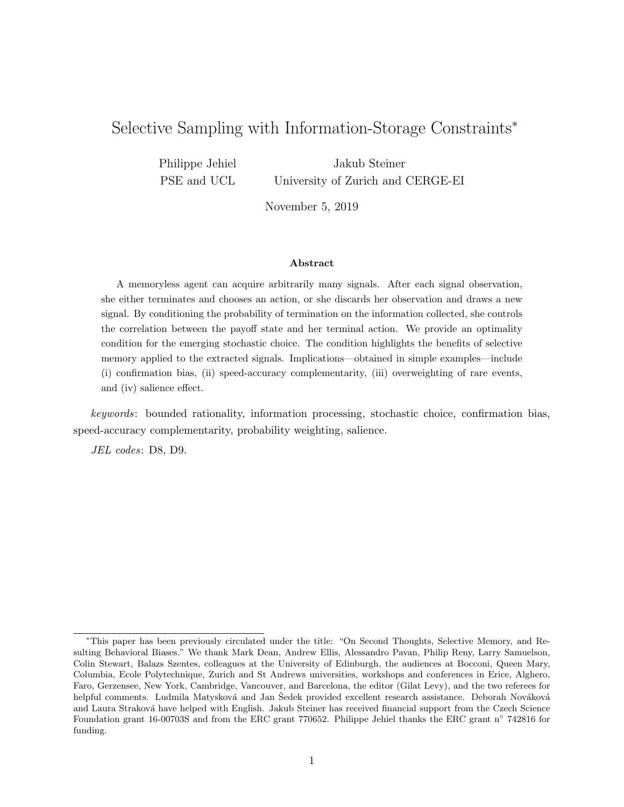# Selective Sampling with Information-Storage Constraints<sup>∗</sup>

Philippe Jehiel PSE and UCL Jakub Steiner University of Zurich and CERGE-EI

November 5, 2019

#### Abstract

A memoryless agent can acquire arbitrarily many signals. After each signal observation, she either terminates and chooses an action, or she discards her observation and draws a new signal. By conditioning the probability of termination on the information collected, she controls the correlation between the payoff state and her terminal action. We provide an optimality condition for the emerging stochastic choice. The condition highlights the benefits of selective memory applied to the extracted signals. Implications—obtained in simple examples—include (i) confirmation bias, (ii) speed-accuracy complementarity, (iii) overweighting of rare events, and (iv) salience effect.

keywords: bounded rationality, information processing, stochastic choice, confirmation bias, speed-accuracy complementarity, probability weighting, salience.

JEL codes: D8, D9.

<sup>∗</sup>This paper has been previously circulated under the title: "On Second Thoughts, Selective Memory, and Resulting Behavioral Biases." We thank Mark Dean, Andrew Ellis, Alessandro Pavan, Philip Reny, Larry Samuelson, Colin Stewart, Balazs Szentes, colleagues at the University of Edinburgh, the audiences at Bocconi, Queen Mary, Columbia, Ecole Polytechnique, Zurich and St Andrews universities, workshops and conferences in Erice, Alghero, Faro, Gerzensee, New York, Cambridge, Vancouver, and Barcelona, the editor (Gilat Levy), and the two referees for helpful comments. Ludmila Matysková and Jan Sedek provided excellent research assistance. Deborah Nováková and Laura Straková have helped with English. Jakub Steiner has received financial support from the Czech Science Foundation grant 16-00703S and from the ERC grant 770652. Philippe Jehiel thanks the ERC grant n◦ 742816 for funding.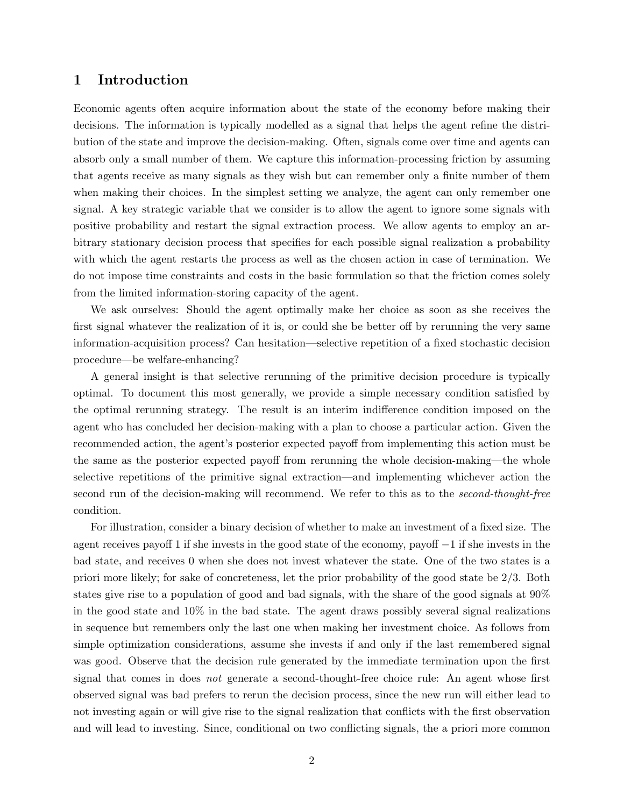# 1 Introduction

Economic agents often acquire information about the state of the economy before making their decisions. The information is typically modelled as a signal that helps the agent refine the distribution of the state and improve the decision-making. Often, signals come over time and agents can absorb only a small number of them. We capture this information-processing friction by assuming that agents receive as many signals as they wish but can remember only a finite number of them when making their choices. In the simplest setting we analyze, the agent can only remember one signal. A key strategic variable that we consider is to allow the agent to ignore some signals with positive probability and restart the signal extraction process. We allow agents to employ an arbitrary stationary decision process that specifies for each possible signal realization a probability with which the agent restarts the process as well as the chosen action in case of termination. We do not impose time constraints and costs in the basic formulation so that the friction comes solely from the limited information-storing capacity of the agent.

We ask ourselves: Should the agent optimally make her choice as soon as she receives the first signal whatever the realization of it is, or could she be better off by rerunning the very same information-acquisition process? Can hesitation—selective repetition of a fixed stochastic decision procedure—be welfare-enhancing?

A general insight is that selective rerunning of the primitive decision procedure is typically optimal. To document this most generally, we provide a simple necessary condition satisfied by the optimal rerunning strategy. The result is an interim indifference condition imposed on the agent who has concluded her decision-making with a plan to choose a particular action. Given the recommended action, the agent's posterior expected payoff from implementing this action must be the same as the posterior expected payoff from rerunning the whole decision-making—the whole selective repetitions of the primitive signal extraction—and implementing whichever action the second run of the decision-making will recommend. We refer to this as to the *second-thought-free* condition.

For illustration, consider a binary decision of whether to make an investment of a fixed size. The agent receives payoff 1 if she invests in the good state of the economy, payoff −1 if she invests in the bad state, and receives 0 when she does not invest whatever the state. One of the two states is a priori more likely; for sake of concreteness, let the prior probability of the good state be 2/3. Both states give rise to a population of good and bad signals, with the share of the good signals at 90% in the good state and  $10\%$  in the bad state. The agent draws possibly several signal realizations in sequence but remembers only the last one when making her investment choice. As follows from simple optimization considerations, assume she invests if and only if the last remembered signal was good. Observe that the decision rule generated by the immediate termination upon the first signal that comes in does *not* generate a second-thought-free choice rule: An agent whose first observed signal was bad prefers to rerun the decision process, since the new run will either lead to not investing again or will give rise to the signal realization that conflicts with the first observation and will lead to investing. Since, conditional on two conflicting signals, the a priori more common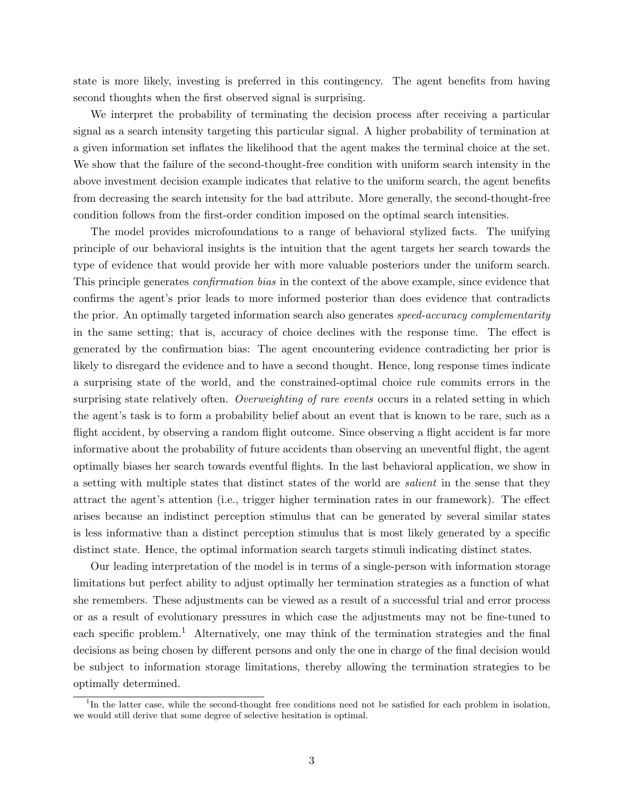state is more likely, investing is preferred in this contingency. The agent benefits from having second thoughts when the first observed signal is surprising.

We interpret the probability of terminating the decision process after receiving a particular signal as a search intensity targeting this particular signal. A higher probability of termination at a given information set inflates the likelihood that the agent makes the terminal choice at the set. We show that the failure of the second-thought-free condition with uniform search intensity in the above investment decision example indicates that relative to the uniform search, the agent benefits from decreasing the search intensity for the bad attribute. More generally, the second-thought-free condition follows from the first-order condition imposed on the optimal search intensities.

The model provides microfoundations to a range of behavioral stylized facts. The unifying principle of our behavioral insights is the intuition that the agent targets her search towards the type of evidence that would provide her with more valuable posteriors under the uniform search. This principle generates confirmation bias in the context of the above example, since evidence that confirms the agent's prior leads to more informed posterior than does evidence that contradicts the prior. An optimally targeted information search also generates speed-accuracy complementarity in the same setting; that is, accuracy of choice declines with the response time. The effect is generated by the confirmation bias: The agent encountering evidence contradicting her prior is likely to disregard the evidence and to have a second thought. Hence, long response times indicate a surprising state of the world, and the constrained-optimal choice rule commits errors in the surprising state relatively often. Overweighting of rare events occurs in a related setting in which the agent's task is to form a probability belief about an event that is known to be rare, such as a flight accident, by observing a random flight outcome. Since observing a flight accident is far more informative about the probability of future accidents than observing an uneventful flight, the agent optimally biases her search towards eventful flights. In the last behavioral application, we show in a setting with multiple states that distinct states of the world are salient in the sense that they attract the agent's attention (i.e., trigger higher termination rates in our framework). The effect arises because an indistinct perception stimulus that can be generated by several similar states is less informative than a distinct perception stimulus that is most likely generated by a specific distinct state. Hence, the optimal information search targets stimuli indicating distinct states.

Our leading interpretation of the model is in terms of a single-person with information storage limitations but perfect ability to adjust optimally her termination strategies as a function of what she remembers. These adjustments can be viewed as a result of a successful trial and error process or as a result of evolutionary pressures in which case the adjustments may not be fine-tuned to each specific problem.<sup>1</sup> Alternatively, one may think of the termination strategies and the final decisions as being chosen by different persons and only the one in charge of the final decision would be subject to information storage limitations, thereby allowing the termination strategies to be optimally determined.

<sup>&</sup>lt;sup>1</sup>In the latter case, while the second-thought free conditions need not be satisfied for each problem in isolation, we would still derive that some degree of selective hesitation is optimal.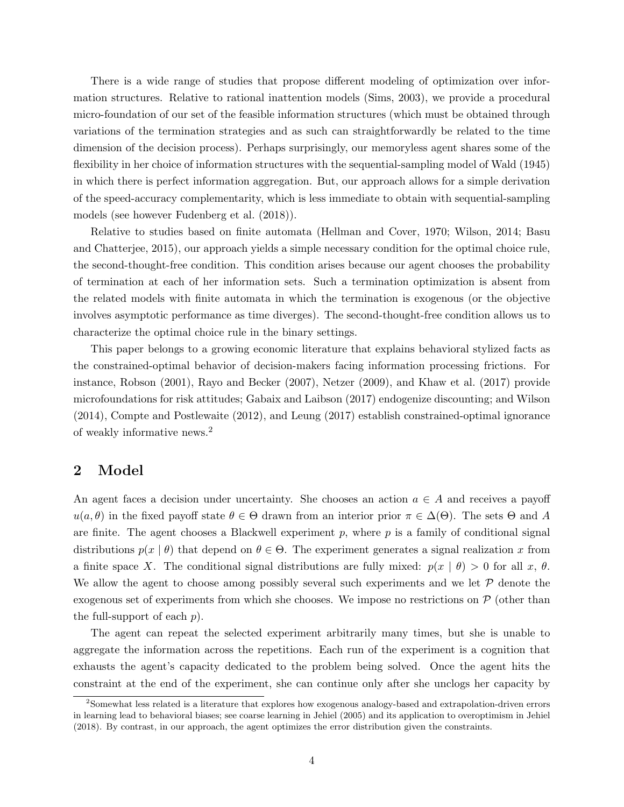There is a wide range of studies that propose different modeling of optimization over information structures. Relative to rational inattention models (Sims, 2003), we provide a procedural micro-foundation of our set of the feasible information structures (which must be obtained through variations of the termination strategies and as such can straightforwardly be related to the time dimension of the decision process). Perhaps surprisingly, our memoryless agent shares some of the flexibility in her choice of information structures with the sequential-sampling model of Wald (1945) in which there is perfect information aggregation. But, our approach allows for a simple derivation of the speed-accuracy complementarity, which is less immediate to obtain with sequential-sampling models (see however Fudenberg et al. (2018)).

Relative to studies based on finite automata (Hellman and Cover, 1970; Wilson, 2014; Basu and Chatterjee, 2015), our approach yields a simple necessary condition for the optimal choice rule, the second-thought-free condition. This condition arises because our agent chooses the probability of termination at each of her information sets. Such a termination optimization is absent from the related models with finite automata in which the termination is exogenous (or the objective involves asymptotic performance as time diverges). The second-thought-free condition allows us to characterize the optimal choice rule in the binary settings.

This paper belongs to a growing economic literature that explains behavioral stylized facts as the constrained-optimal behavior of decision-makers facing information processing frictions. For instance, Robson (2001), Rayo and Becker (2007), Netzer (2009), and Khaw et al. (2017) provide microfoundations for risk attitudes; Gabaix and Laibson (2017) endogenize discounting; and Wilson (2014), Compte and Postlewaite (2012), and Leung (2017) establish constrained-optimal ignorance of weakly informative news.<sup>2</sup>

# 2 Model

An agent faces a decision under uncertainty. She chooses an action  $a \in A$  and receives a payoff  $u(a, \theta)$  in the fixed payoff state  $\theta \in \Theta$  drawn from an interior prior  $\pi \in \Delta(\Theta)$ . The sets  $\Theta$  and A are finite. The agent chooses a Blackwell experiment  $p$ , where  $p$  is a family of conditional signal distributions  $p(x | \theta)$  that depend on  $\theta \in \Theta$ . The experiment generates a signal realization x from a finite space X. The conditional signal distributions are fully mixed:  $p(x | \theta) > 0$  for all x,  $\theta$ . We allow the agent to choose among possibly several such experiments and we let  $P$  denote the exogenous set of experiments from which she chooses. We impose no restrictions on  $P$  (other than the full-support of each  $p$ ).

The agent can repeat the selected experiment arbitrarily many times, but she is unable to aggregate the information across the repetitions. Each run of the experiment is a cognition that exhausts the agent's capacity dedicated to the problem being solved. Once the agent hits the constraint at the end of the experiment, she can continue only after she unclogs her capacity by

<sup>2</sup>Somewhat less related is a literature that explores how exogenous analogy-based and extrapolation-driven errors in learning lead to behavioral biases; see coarse learning in Jehiel (2005) and its application to overoptimism in Jehiel (2018). By contrast, in our approach, the agent optimizes the error distribution given the constraints.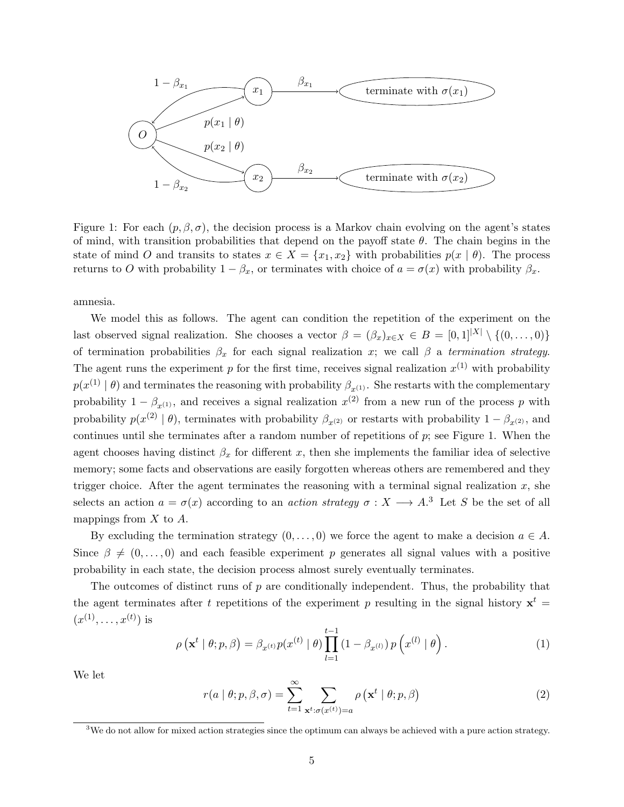

Figure 1: For each  $(p, \beta, \sigma)$ , the decision process is a Markov chain evolving on the agent's states of mind, with transition probabilities that depend on the payoff state  $\theta$ . The chain begins in the state of mind O and transits to states  $x \in X = \{x_1, x_2\}$  with probabilities  $p(x \mid \theta)$ . The process returns to O with probability  $1 - \beta_x$ , or terminates with choice of  $a = \sigma(x)$  with probability  $\beta_x$ .

amnesia.

We model this as follows. The agent can condition the repetition of the experiment on the last observed signal realization. She chooses a vector  $\beta = (\beta_x)_{x \in X} \in B = [0, 1]^{|X|} \setminus \{(0, \ldots, 0)\}\$ of termination probabilities  $\beta_x$  for each signal realization x; we call  $\beta$  a termination strategy. The agent runs the experiment p for the first time, receives signal realization  $x^{(1)}$  with probability  $p(x^{(1)} | \theta)$  and terminates the reasoning with probability  $\beta_{x^{(1)}}$ . She restarts with the complementary probability  $1 - \beta_{x^{(1)}}$ , and receives a signal realization  $x^{(2)}$  from a new run of the process p with probability  $p(x^{(2)} | \theta)$ , terminates with probability  $\beta_{x^{(2)}}$  or restarts with probability  $1 - \beta_{x^{(2)}}$ , and continues until she terminates after a random number of repetitions of  $p$ ; see Figure 1. When the agent chooses having distinct  $\beta_x$  for different x, then she implements the familiar idea of selective memory; some facts and observations are easily forgotten whereas others are remembered and they trigger choice. After the agent terminates the reasoning with a terminal signal realization  $x$ , she selects an action  $a = \sigma(x)$  according to an *action strategy*  $\sigma: X \longrightarrow A$ <sup>3</sup>. Let S be the set of all mappings from  $X$  to  $A$ .

By excluding the termination strategy  $(0, \ldots, 0)$  we force the agent to make a decision  $a \in A$ . Since  $\beta \neq (0, \ldots, 0)$  and each feasible experiment p generates all signal values with a positive probability in each state, the decision process almost surely eventually terminates.

The outcomes of distinct runs of p are conditionally independent. Thus, the probability that the agent terminates after t repetitions of the experiment p resulting in the signal history  $x^t =$  $(x^{(1)},...,x^{(t)})$  is

$$
\rho\left(\mathbf{x}^t \mid \theta; p, \beta\right) = \beta_{x^{(t)}} p(x^{(t)} \mid \theta) \prod_{l=1}^{t-1} \left(1 - \beta_{x^{(l)}}\right) p\left(x^{(l)} \mid \theta\right). \tag{1}
$$

We let

$$
r(a \mid \theta; p, \beta, \sigma) = \sum_{t=1}^{\infty} \sum_{\mathbf{x}^t : \sigma(x^{(t)}) = a} \rho\left(\mathbf{x}^t \mid \theta; p, \beta\right)
$$
 (2)

<sup>&</sup>lt;sup>3</sup>We do not allow for mixed action strategies since the optimum can always be achieved with a pure action strategy.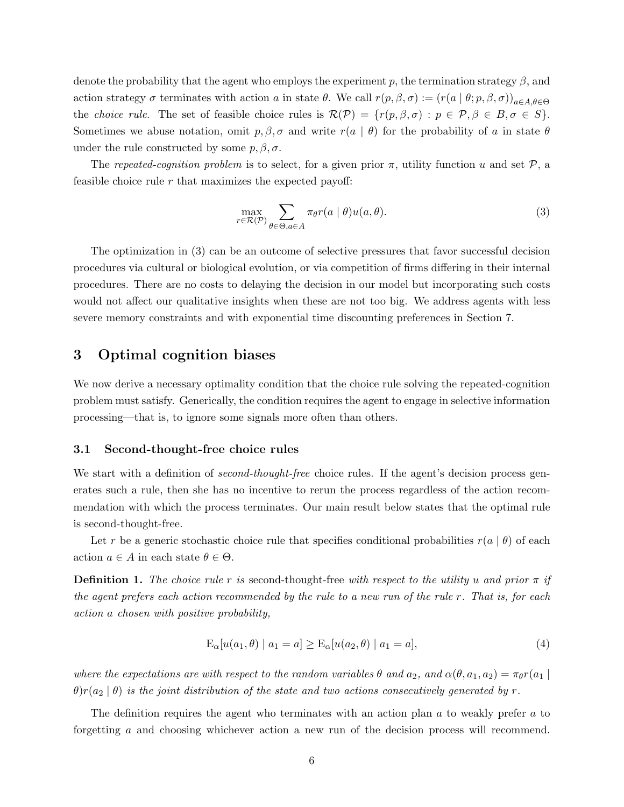denote the probability that the agent who employs the experiment  $p$ , the termination strategy  $\beta$ , and action strategy  $\sigma$  terminates with action a in state  $\theta$ . We call  $r(p, \beta, \sigma) := (r(a | \theta; p, \beta, \sigma))_{a \in A, \theta \in \Theta}$ the *choice rule*. The set of feasible choice rules is  $\mathcal{R}(\mathcal{P}) = \{r(p, \beta, \sigma) : p \in \mathcal{P}, \beta \in B, \sigma \in S\}.$ Sometimes we abuse notation, omit  $p, \beta, \sigma$  and write  $r(a | \theta)$  for the probability of a in state  $\theta$ under the rule constructed by some  $p, \beta, \sigma$ .

The repeated-cognition problem is to select, for a given prior  $\pi$ , utility function u and set  $\mathcal{P}$ , a feasible choice rule  $r$  that maximizes the expected payoff:

$$
\max_{r \in \mathcal{R}(\mathcal{P})} \sum_{\theta \in \Theta, a \in A} \pi_{\theta} r(a \mid \theta) u(a, \theta). \tag{3}
$$

The optimization in (3) can be an outcome of selective pressures that favor successful decision procedures via cultural or biological evolution, or via competition of firms differing in their internal procedures. There are no costs to delaying the decision in our model but incorporating such costs would not affect our qualitative insights when these are not too big. We address agents with less severe memory constraints and with exponential time discounting preferences in Section 7.

### 3 Optimal cognition biases

We now derive a necessary optimality condition that the choice rule solving the repeated-cognition problem must satisfy. Generically, the condition requires the agent to engage in selective information processing—that is, to ignore some signals more often than others.

#### 3.1 Second-thought-free choice rules

We start with a definition of *second-thought-free* choice rules. If the agent's decision process generates such a rule, then she has no incentive to rerun the process regardless of the action recommendation with which the process terminates. Our main result below states that the optimal rule is second-thought-free.

Let r be a generic stochastic choice rule that specifies conditional probabilities  $r(a | \theta)$  of each action  $a \in A$  in each state  $\theta \in \Theta$ .

**Definition 1.** The choice rule r is second-thought-free with respect to the utility u and prior  $\pi$  if the agent prefers each action recommended by the rule to a new run of the rule r. That is, for each action a chosen with positive probability,

$$
E_{\alpha}[u(a_1, \theta) | a_1 = a] \ge E_{\alpha}[u(a_2, \theta) | a_1 = a], \tag{4}
$$

where the expectations are with respect to the random variables  $\theta$  and  $a_2$ , and  $\alpha(\theta, a_1, a_2) = \pi_{\theta} r(a_1)$  $\theta$ )r(a<sub>2</sub> |  $\theta$ ) is the joint distribution of the state and two actions consecutively generated by r.

The definition requires the agent who terminates with an action plan a to weakly prefer a to forgetting a and choosing whichever action a new run of the decision process will recommend.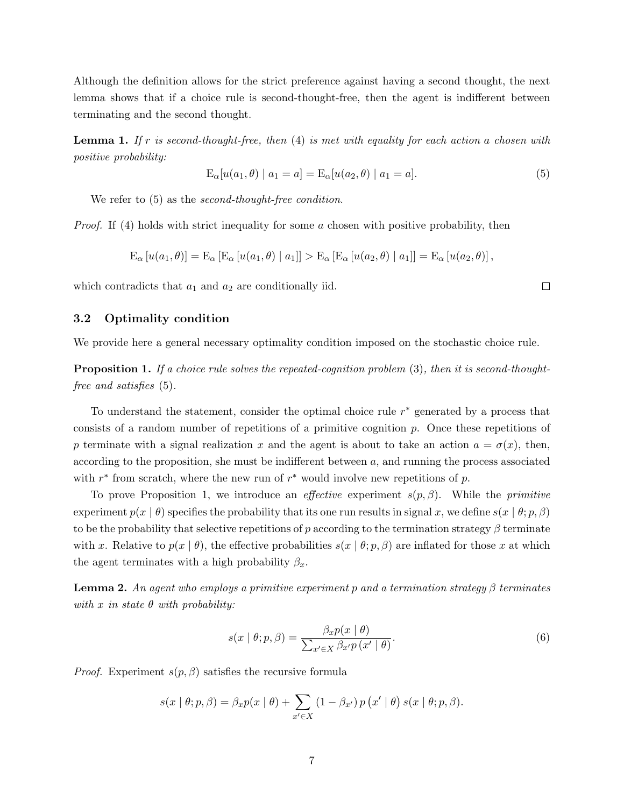Although the definition allows for the strict preference against having a second thought, the next lemma shows that if a choice rule is second-thought-free, then the agent is indifferent between terminating and the second thought.

**Lemma 1.** If r is second-thought-free, then  $(4)$  is met with equality for each action a chosen with positive probability:

$$
E_{\alpha}[u(a_1, \theta) | a_1 = a] = E_{\alpha}[u(a_2, \theta) | a_1 = a].
$$
\n(5)

We refer to  $(5)$  as the *second-thought-free condition*.

*Proof.* If (4) holds with strict inequality for some a chosen with positive probability, then

$$
E_{\alpha}[u(a_1,\theta)] = E_{\alpha}[E_{\alpha}[u(a_1,\theta) | a_1]] > E_{\alpha}[E_{\alpha}[u(a_2,\theta) | a_1]] = E_{\alpha}[u(a_2,\theta)],
$$

which contradicts that  $a_1$  and  $a_2$  are conditionally iid.

### 3.2 Optimality condition

We provide here a general necessary optimality condition imposed on the stochastic choice rule.

**Proposition 1.** If a choice rule solves the repeated-cognition problem  $(3)$ , then it is second-thoughtfree and satisfies (5).

To understand the statement, consider the optimal choice rule  $r^*$  generated by a process that consists of a random number of repetitions of a primitive cognition p. Once these repetitions of p terminate with a signal realization x and the agent is about to take an action  $a = \sigma(x)$ , then, according to the proposition, she must be indifferent between  $a$ , and running the process associated with  $r^*$  from scratch, where the new run of  $r^*$  would involve new repetitions of p.

To prove Proposition 1, we introduce an *effective* experiment  $s(p, \beta)$ . While the *primitive* experiment  $p(x | \theta)$  specifies the probability that its one run results in signal x, we define  $s(x | \theta; p, \beta)$ to be the probability that selective repetitions of p according to the termination strategy  $\beta$  terminate with x. Relative to  $p(x | \theta)$ , the effective probabilities  $s(x | \theta; p, \beta)$  are inflated for those x at which the agent terminates with a high probability  $\beta_r$ .

**Lemma 2.** An agent who employs a primitive experiment p and a termination strategy  $\beta$  terminates with x in state  $\theta$  with probability:

$$
s(x \mid \theta; p, \beta) = \frac{\beta_x p(x \mid \theta)}{\sum_{x' \in X} \beta_{x'} p(x' \mid \theta)}.
$$
\n(6)

*Proof.* Experiment  $s(p, \beta)$  satisfies the recursive formula

$$
s(x | \theta; p, \beta) = \beta_x p(x | \theta) + \sum_{x' \in X} (1 - \beta_{x'}) p(x' | \theta) s(x | \theta; p, \beta).
$$

 $\Box$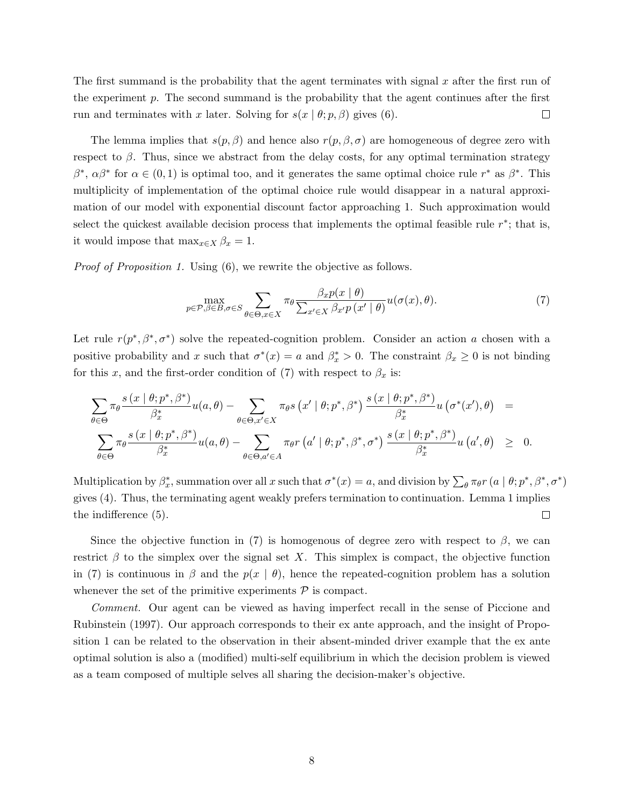The first summand is the probability that the agent terminates with signal  $x$  after the first run of the experiment  $p$ . The second summand is the probability that the agent continues after the first run and terminates with x later. Solving for  $s(x | \theta; p, \beta)$  gives (6).  $\Box$ 

The lemma implies that  $s(p, \beta)$  and hence also  $r(p, \beta, \sigma)$  are homogeneous of degree zero with respect to  $\beta$ . Thus, since we abstract from the delay costs, for any optimal termination strategy  $β^*, αβ^*$  for  $α ∈ (0, 1)$  is optimal too, and it generates the same optimal choice rule r<sup>\*</sup> as  $β^*$ . This multiplicity of implementation of the optimal choice rule would disappear in a natural approximation of our model with exponential discount factor approaching 1. Such approximation would select the quickest available decision process that implements the optimal feasible rule  $r^*$ ; that is, it would impose that  $\max_{x \in X} \beta_x = 1$ .

Proof of Proposition 1. Using  $(6)$ , we rewrite the objective as follows.

$$
\max_{p \in \mathcal{P}, \beta \in B, \sigma \in S} \sum_{\theta \in \Theta, x \in X} \pi_{\theta} \frac{\beta_x p(x \mid \theta)}{\sum_{x' \in X} \beta_{x'} p(x' \mid \theta)} u(\sigma(x), \theta). \tag{7}
$$

Let rule  $r(p^*, \beta^*, \sigma^*)$  solve the repeated-cognition problem. Consider an action a chosen with a positive probability and x such that  $\sigma^*(x) = a$  and  $\beta_x^* > 0$ . The constraint  $\beta_x \geq 0$  is not binding for this x, and the first-order condition of (7) with respect to  $\beta_x$  is:

$$
\sum_{\theta \in \Theta} \pi_{\theta} \frac{s(x | \theta; p^*, \beta^*)}{\beta_x^*} u(a, \theta) - \sum_{\theta \in \Theta, x' \in X} \pi_{\theta} s(x' | \theta; p^*, \beta^*) \frac{s(x | \theta; p^*, \beta^*)}{\beta_x^*} u(\sigma^*(x'), \theta) =
$$
  

$$
\sum_{\theta \in \Theta} \pi_{\theta} \frac{s(x | \theta; p^*, \beta^*)}{\beta_x^*} u(a, \theta) - \sum_{\theta \in \Theta, a' \in A} \pi_{\theta} r(a' | \theta; p^*, \beta^*, \sigma^*) \frac{s(x | \theta; p^*, \beta^*)}{\beta_x^*} u(a', \theta) \geq 0.
$$

Multiplication by  $\beta_x^*$ , summation over all x such that  $\sigma^*(x) = a$ , and division by  $\sum_{\theta} \pi_{\theta} r(a \mid \theta; p^*, \beta^*, \sigma^*)$ gives (4). Thus, the terminating agent weakly prefers termination to continuation. Lemma 1 implies the indifference (5).  $\Box$ 

Since the objective function in (7) is homogenous of degree zero with respect to  $\beta$ , we can restrict  $\beta$  to the simplex over the signal set X. This simplex is compact, the objective function in (7) is continuous in  $\beta$  and the  $p(x | \theta)$ , hence the repeated-cognition problem has a solution whenever the set of the primitive experiments  $P$  is compact.

Comment. Our agent can be viewed as having imperfect recall in the sense of Piccione and Rubinstein (1997). Our approach corresponds to their ex ante approach, and the insight of Proposition 1 can be related to the observation in their absent-minded driver example that the ex ante optimal solution is also a (modified) multi-self equilibrium in which the decision problem is viewed as a team composed of multiple selves all sharing the decision-maker's objective.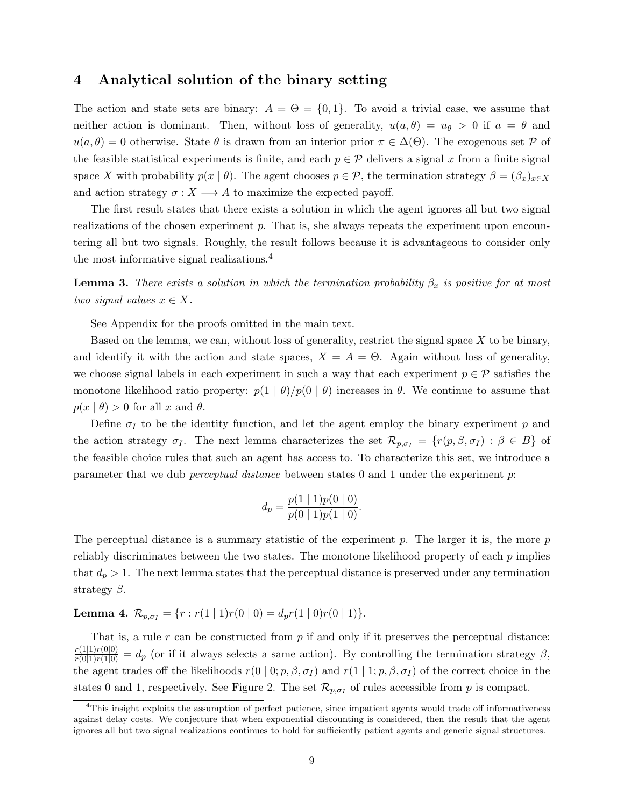### 4 Analytical solution of the binary setting

The action and state sets are binary:  $A = \Theta = \{0, 1\}$ . To avoid a trivial case, we assume that neither action is dominant. Then, without loss of generality,  $u(a, \theta) = u_{\theta} > 0$  if  $a = \theta$  and  $u(a, \theta) = 0$  otherwise. State  $\theta$  is drawn from an interior prior  $\pi \in \Delta(\Theta)$ . The exogenous set P of the feasible statistical experiments is finite, and each  $p \in \mathcal{P}$  delivers a signal x from a finite signal space X with probability  $p(x | \theta)$ . The agent chooses  $p \in \mathcal{P}$ , the termination strategy  $\beta = (\beta_x)_{x \in X}$ and action strategy  $\sigma: X \longrightarrow A$  to maximize the expected payoff.

The first result states that there exists a solution in which the agent ignores all but two signal realizations of the chosen experiment  $p$ . That is, she always repeats the experiment upon encountering all but two signals. Roughly, the result follows because it is advantageous to consider only the most informative signal realizations.<sup>4</sup>

**Lemma 3.** There exists a solution in which the termination probability  $\beta_x$  is positive for at most two signal values  $x \in X$ .

See Appendix for the proofs omitted in the main text.

Based on the lemma, we can, without loss of generality, restrict the signal space  $X$  to be binary, and identify it with the action and state spaces,  $X = A = \Theta$ . Again without loss of generality, we choose signal labels in each experiment in such a way that each experiment  $p \in \mathcal{P}$  satisfies the monotone likelihood ratio property:  $p(1 | \theta)/p(0 | \theta)$  increases in  $\theta$ . We continue to assume that  $p(x | \theta) > 0$  for all x and  $\theta$ .

Define  $\sigma_I$  to be the identity function, and let the agent employ the binary experiment p and the action strategy  $\sigma_I$ . The next lemma characterizes the set  $\mathcal{R}_{p,\sigma_I} = \{r(p,\beta,\sigma_I) : \beta \in B\}$  of the feasible choice rules that such an agent has access to. To characterize this set, we introduce a parameter that we dub *perceptual distance* between states  $0$  and  $1$  under the experiment  $p$ :

$$
d_p = \frac{p(1 \mid 1)p(0 \mid 0)}{p(0 \mid 1)p(1 \mid 0)}.
$$

The perceptual distance is a summary statistic of the experiment  $p$ . The larger it is, the more  $p$ reliably discriminates between the two states. The monotone likelihood property of each  $p$  implies that  $d_p > 1$ . The next lemma states that the perceptual distance is preserved under any termination strategy  $\beta$ .

# Lemma 4.  $\mathcal{R}_{p,\sigma_I} = \{r : r(1 \mid 1)r(0 \mid 0) = d_p r(1 \mid 0)r(0 \mid 1)\}.$

That is, a rule  $r$  can be constructed from  $p$  if and only if it preserves the perceptual distance:  $\frac{r(1|1)r(0|0)}{r(0|1)r(1|0)} = d_p$  (or if it always selects a same action). By controlling the termination strategy  $\beta$ , the agent trades off the likelihoods  $r(0 | 0; p, \beta, \sigma_I)$  and  $r(1 | 1; p, \beta, \sigma_I)$  of the correct choice in the states 0 and 1, respectively. See Figure 2. The set  $\mathcal{R}_{p,\sigma_I}$  of rules accessible from p is compact.

 $^{4}$ This insight exploits the assumption of perfect patience, since impatient agents would trade off informativeness against delay costs. We conjecture that when exponential discounting is considered, then the result that the agent ignores all but two signal realizations continues to hold for sufficiently patient agents and generic signal structures.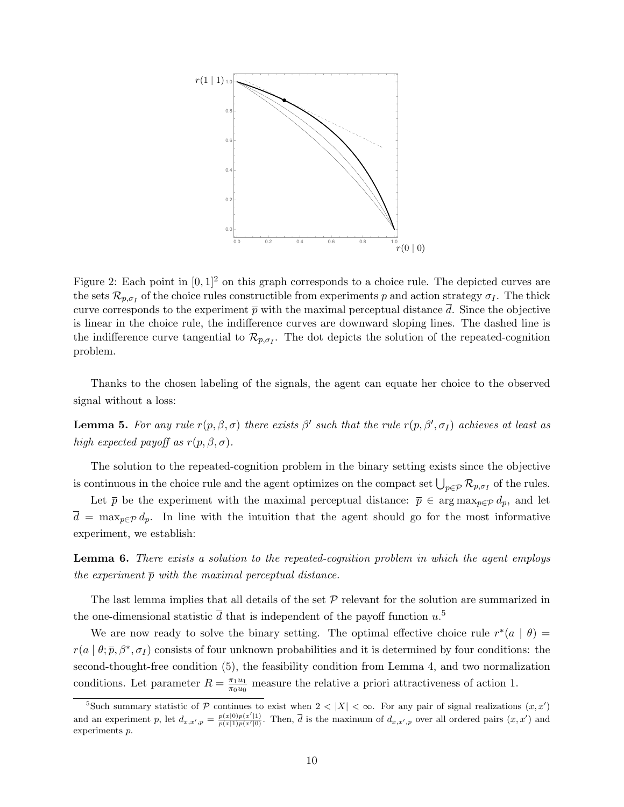

Figure 2: Each point in  $[0, 1]^2$  on this graph corresponds to a choice rule. The depicted curves are the sets  $\mathcal{R}_{p,\sigma_I}$  of the choice rules constructible from experiments p and action strategy  $\sigma_I$ . The thick curve corresponds to the experiment  $\bar{p}$  with the maximal perceptual distance d. Since the objective is linear in the choice rule, the indifference curves are downward sloping lines. The dashed line is the indifference curve tangential to  $\mathcal{R}_{\bar{p},\sigma_I}$ . The dot depicts the solution of the repeated-cognition problem.

Thanks to the chosen labeling of the signals, the agent can equate her choice to the observed signal without a loss:

**Lemma 5.** For any rule  $r(p, \beta, \sigma)$  there exists  $\beta'$  such that the rule  $r(p, \beta', \sigma_I)$  achieves at least as high expected payoff as  $r(p, \beta, \sigma)$ .

The solution to the repeated-cognition problem in the binary setting exists since the objective is continuous in the choice rule and the agent optimizes on the compact set  $\bigcup_{p\in\mathcal{P}}\mathcal{R}_{p,\sigma_I}$  of the rules.

Let  $\bar{p}$  be the experiment with the maximal perceptual distance:  $\bar{p} \in \arg \max_{p \in \mathcal{P}} d_p$ , and let  $\overline{d} = \max_{p \in \mathcal{P}} d_p$ . In line with the intuition that the agent should go for the most informative experiment, we establish:

**Lemma 6.** There exists a solution to the repeated-cognition problem in which the agent employs the experiment  $\bar{p}$  with the maximal perceptual distance.

The last lemma implies that all details of the set  $P$  relevant for the solution are summarized in the one-dimensional statistic  $\bar{d}$  that is independent of the payoff function  $u$ .<sup>5</sup>

We are now ready to solve the binary setting. The optimal effective choice rule  $r^*(a | \theta)$  =  $r(a | \theta, \bar{p}, \beta^*, \sigma_I)$  consists of four unknown probabilities and it is determined by four conditions: the second-thought-free condition (5), the feasibility condition from Lemma 4, and two normalization conditions. Let parameter  $R = \frac{\pi_1 u_1}{\pi_2 u_0}$  $\frac{\pi_1 u_1}{\pi_0 u_0}$  measure the relative a priori attractiveness of action 1.

<sup>&</sup>lt;sup>5</sup>Such summary statistic of P continues to exist when  $2 < |X| < \infty$ . For any pair of signal realizations  $(x, x')$ and an experiment p, let  $d_{x,x',p} = \frac{p(x|0)p(x'|1)}{p(x|1)p(x'|0)}$ . Then,  $\overline{d}$  is the maximum of  $d_{x,x',p}$  over all ordered pairs  $(x, x')$  and experiments p.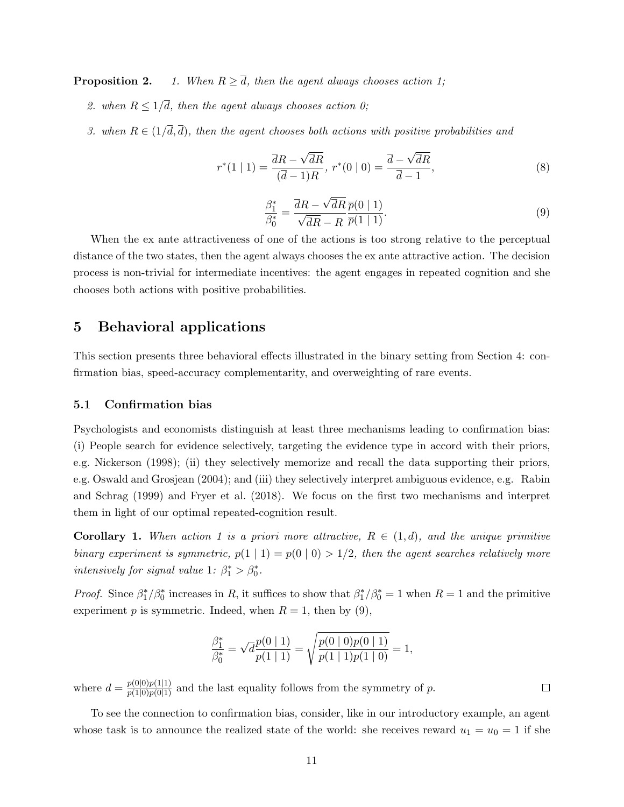**Proposition 2.** 1. When  $R \geq \overline{d}$ , then the agent always chooses action 1;

- 2. when  $R \leq 1/\overline{d}$ , then the agent always chooses action 0;
- 3. when  $R \in (1/\overline{d}, \overline{d})$ , then the agent chooses both actions with positive probabilities and

$$
r^*(1 | 1) = \frac{\overline{d}R - \sqrt{\overline{d}R}}{(\overline{d} - 1)R}, \ r^*(0 | 0) = \frac{\overline{d} - \sqrt{\overline{d}R}}{\overline{d} - 1}, \tag{8}
$$

$$
\frac{\beta_1^*}{\beta_0^*} = \frac{\overline{d}R - \sqrt{\overline{d}R}}{\sqrt{\overline{d}R} - R} \frac{\overline{p}(0 \mid 1)}{\overline{p}(1 \mid 1)}.
$$
\n(9)

When the ex ante attractiveness of one of the actions is too strong relative to the perceptual distance of the two states, then the agent always chooses the ex ante attractive action. The decision process is non-trivial for intermediate incentives: the agent engages in repeated cognition and she chooses both actions with positive probabilities.

### 5 Behavioral applications

This section presents three behavioral effects illustrated in the binary setting from Section 4: confirmation bias, speed-accuracy complementarity, and overweighting of rare events.

#### 5.1 Confirmation bias

Psychologists and economists distinguish at least three mechanisms leading to confirmation bias: (i) People search for evidence selectively, targeting the evidence type in accord with their priors, e.g. Nickerson (1998); (ii) they selectively memorize and recall the data supporting their priors, e.g. Oswald and Grosjean (2004); and (iii) they selectively interpret ambiguous evidence, e.g. Rabin and Schrag (1999) and Fryer et al. (2018). We focus on the first two mechanisms and interpret them in light of our optimal repeated-cognition result.

**Corollary 1.** When action 1 is a priori more attractive,  $R \in (1, d)$ , and the unique primitive binary experiment is symmetric,  $p(1 | 1) = p(0 | 0) > 1/2$ , then the agent searches relatively more intensively for signal value 1:  $\beta_1^* > \beta_0^*$ .

*Proof.* Since  $\beta_1^*/\beta_0^*$  increases in R, it suffices to show that  $\beta_1^*/\beta_0^* = 1$  when  $R = 1$  and the primitive experiment p is symmetric. Indeed, when  $R = 1$ , then by (9),

$$
\frac{\beta_1^*}{\beta_0^*} = \sqrt{d} \frac{p(0 \mid 1)}{p(1 \mid 1)} = \sqrt{\frac{p(0 \mid 0)p(0 \mid 1)}{p(1 \mid 1)p(1 \mid 0)}} = 1,
$$

where  $d = \frac{p(0|0)p(1|1)}{p(1|0)p(0|1)}$  and the last equality follows from the symmetry of p.

To see the connection to confirmation bias, consider, like in our introductory example, an agent whose task is to announce the realized state of the world: she receives reward  $u_1 = u_0 = 1$  if she

 $\Box$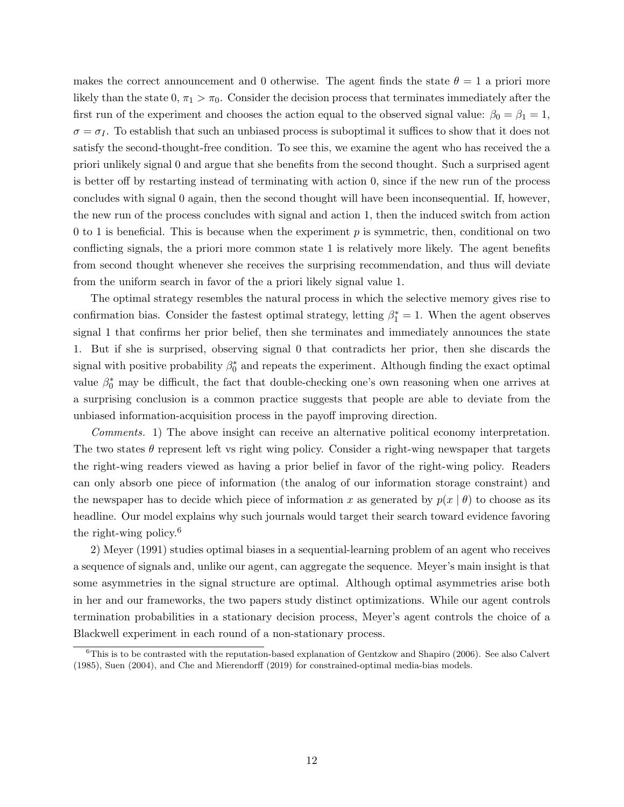makes the correct announcement and 0 otherwise. The agent finds the state  $\theta = 1$  a priori more likely than the state  $0, \pi_1 > \pi_0$ . Consider the decision process that terminates immediately after the first run of the experiment and chooses the action equal to the observed signal value:  $\beta_0 = \beta_1 = 1$ ,  $\sigma = \sigma_I$ . To establish that such an unbiased process is suboptimal it suffices to show that it does not satisfy the second-thought-free condition. To see this, we examine the agent who has received the a priori unlikely signal 0 and argue that she benefits from the second thought. Such a surprised agent is better off by restarting instead of terminating with action 0, since if the new run of the process concludes with signal 0 again, then the second thought will have been inconsequential. If, however, the new run of the process concludes with signal and action 1, then the induced switch from action 0 to 1 is beneficial. This is because when the experiment  $p$  is symmetric, then, conditional on two conflicting signals, the a priori more common state 1 is relatively more likely. The agent benefits from second thought whenever she receives the surprising recommendation, and thus will deviate from the uniform search in favor of the a priori likely signal value 1.

The optimal strategy resembles the natural process in which the selective memory gives rise to confirmation bias. Consider the fastest optimal strategy, letting  $\beta_1^* = 1$ . When the agent observes signal 1 that confirms her prior belief, then she terminates and immediately announces the state 1. But if she is surprised, observing signal 0 that contradicts her prior, then she discards the signal with positive probability  $\beta_0^*$  and repeats the experiment. Although finding the exact optimal value  $\beta_0^*$  may be difficult, the fact that double-checking one's own reasoning when one arrives at a surprising conclusion is a common practice suggests that people are able to deviate from the unbiased information-acquisition process in the payoff improving direction.

Comments. 1) The above insight can receive an alternative political economy interpretation. The two states  $\theta$  represent left vs right wing policy. Consider a right-wing newspaper that targets the right-wing readers viewed as having a prior belief in favor of the right-wing policy. Readers can only absorb one piece of information (the analog of our information storage constraint) and the newspaper has to decide which piece of information x as generated by  $p(x | \theta)$  to choose as its headline. Our model explains why such journals would target their search toward evidence favoring the right-wing policy. $6$ 

2) Meyer (1991) studies optimal biases in a sequential-learning problem of an agent who receives a sequence of signals and, unlike our agent, can aggregate the sequence. Meyer's main insight is that some asymmetries in the signal structure are optimal. Although optimal asymmetries arise both in her and our frameworks, the two papers study distinct optimizations. While our agent controls termination probabilities in a stationary decision process, Meyer's agent controls the choice of a Blackwell experiment in each round of a non-stationary process.

 ${}^{6}$ This is to be contrasted with the reputation-based explanation of Gentzkow and Shapiro (2006). See also Calvert (1985), Suen (2004), and Che and Mierendorff (2019) for constrained-optimal media-bias models.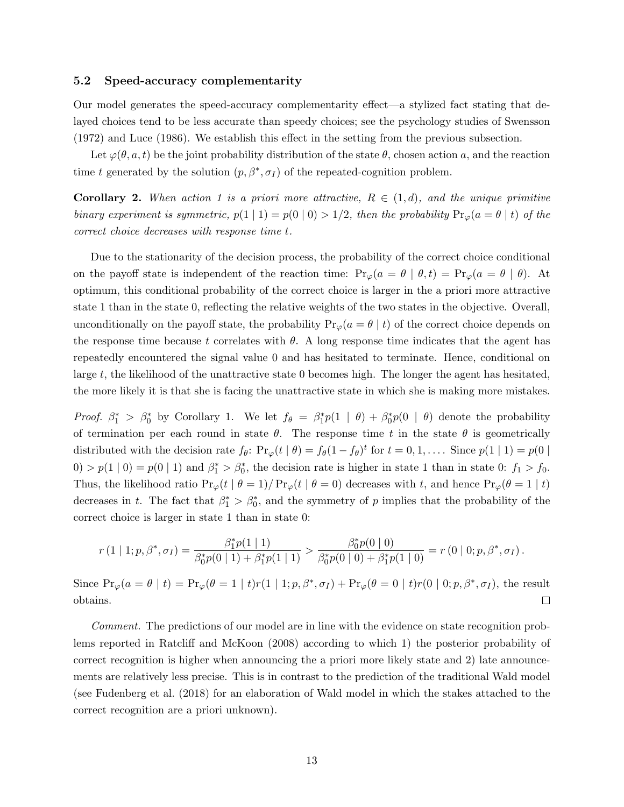#### 5.2 Speed-accuracy complementarity

Our model generates the speed-accuracy complementarity effect—a stylized fact stating that delayed choices tend to be less accurate than speedy choices; see the psychology studies of Swensson (1972) and Luce (1986). We establish this effect in the setting from the previous subsection.

Let  $\varphi(\theta, a, t)$  be the joint probability distribution of the state  $\theta$ , chosen action a, and the reaction time t generated by the solution  $(p, \beta^*, \sigma_I)$  of the repeated-cognition problem.

**Corollary 2.** When action 1 is a priori more attractive,  $R \in (1, d)$ , and the unique primitive binary experiment is symmetric,  $p(1 | 1) = p(0 | 0) > 1/2$ , then the probability  $Pr_{\varphi}(a = \theta | t)$  of the correct choice decreases with response time t.

Due to the stationarity of the decision process, the probability of the correct choice conditional on the payoff state is independent of the reaction time:  $Pr_{\varphi}(a = \theta \mid \theta, t) = Pr_{\varphi}(a = \theta \mid \theta)$ . At optimum, this conditional probability of the correct choice is larger in the a priori more attractive state 1 than in the state 0, reflecting the relative weights of the two states in the objective. Overall, unconditionally on the payoff state, the probability  $Pr_{\varphi}(a = \theta | t)$  of the correct choice depends on the response time because t correlates with  $\theta$ . A long response time indicates that the agent has repeatedly encountered the signal value 0 and has hesitated to terminate. Hence, conditional on large t, the likelihood of the unattractive state 0 becomes high. The longer the agent has hesitated, the more likely it is that she is facing the unattractive state in which she is making more mistakes.

*Proof.*  $\beta_1^* > \beta_0^*$  by Corollary 1. We let  $f_{\theta} = \beta_1^* p(1 \mid \theta) + \beta_0^* p(0 \mid \theta)$  denote the probability of termination per each round in state  $\theta$ . The response time t in the state  $\theta$  is geometrically distributed with the decision rate  $f_{\theta}$ :  $Pr_{\varphi}(t | \theta) = f_{\theta}(1 - f_{\theta})^t$  for  $t = 0, 1, \dots$ . Since  $p(1 | 1) = p(0 |$  $0 > p(1 | 0) = p(0 | 1)$  and  $\beta_1^* > \beta_0^*$ , the decision rate is higher in state 1 than in state 0:  $f_1 > f_0$ . Thus, the likelihood ratio  $Pr_{\varphi}(t \mid \theta = 1)/ Pr_{\varphi}(t \mid \theta = 0)$  decreases with t, and hence  $Pr_{\varphi}(\theta = 1 \mid t)$ decreases in t. The fact that  $\beta_1^* > \beta_0^*$ , and the symmetry of p implies that the probability of the correct choice is larger in state 1 than in state 0:

$$
r(1 | 1; p, \beta^*, \sigma_I) = \frac{\beta_1^* p(1 | 1)}{\beta_0^* p(0 | 1) + \beta_1^* p(1 | 1)} > \frac{\beta_0^* p(0 | 0)}{\beta_0^* p(0 | 0) + \beta_1^* p(1 | 0)} = r(0 | 0; p, \beta^*, \sigma_I).
$$

Since  $Pr_{\varphi}(a = \theta | t) = Pr_{\varphi}(\theta = 1 | t)r(1 | 1; p, \beta^*, \sigma_I) + Pr_{\varphi}(\theta = 0 | t)r(0 | 0; p, \beta^*, \sigma_I)$ , the result obtains.  $\Box$ 

Comment. The predictions of our model are in line with the evidence on state recognition problems reported in Ratcliff and McKoon (2008) according to which 1) the posterior probability of correct recognition is higher when announcing the a priori more likely state and 2) late announcements are relatively less precise. This is in contrast to the prediction of the traditional Wald model (see Fudenberg et al. (2018) for an elaboration of Wald model in which the stakes attached to the correct recognition are a priori unknown).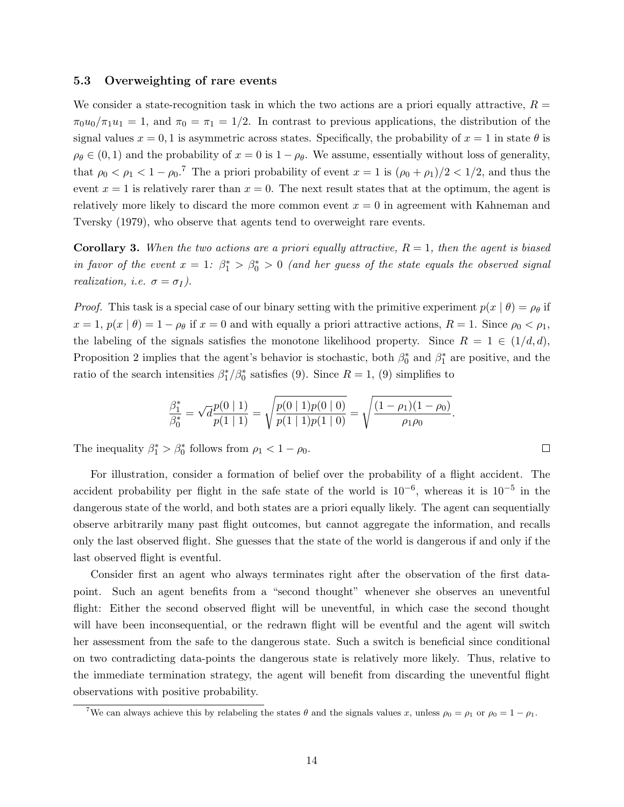#### 5.3 Overweighting of rare events

We consider a state-recognition task in which the two actions are a priori equally attractive,  $R =$  $\pi_0u_0/\pi_1u_1 = 1$ , and  $\pi_0 = \pi_1 = 1/2$ . In contrast to previous applications, the distribution of the signal values  $x = 0, 1$  is asymmetric across states. Specifically, the probability of  $x = 1$  in state  $\theta$  is  $\rho_{\theta} \in (0,1)$  and the probability of  $x = 0$  is  $1 - \rho_{\theta}$ . We assume, essentially without loss of generality, that  $\rho_0 < \rho_1 < 1 - \rho_0$ .<sup>7</sup> The a priori probability of event  $x = 1$  is  $(\rho_0 + \rho_1)/2 < 1/2$ , and thus the event  $x = 1$  is relatively rarer than  $x = 0$ . The next result states that at the optimum, the agent is relatively more likely to discard the more common event  $x = 0$  in agreement with Kahneman and Tversky (1979), who observe that agents tend to overweight rare events.

**Corollary 3.** When the two actions are a priori equally attractive,  $R = 1$ , then the agent is biased in favor of the event  $x = 1$ :  $\beta_1^* > \beta_0^* > 0$  (and her guess of the state equals the observed signal realization, i.e.  $\sigma = \sigma_I$ ).

*Proof.* This task is a special case of our binary setting with the primitive experiment  $p(x | \theta) = \rho_{\theta}$  if  $x = 1$ ,  $p(x | \theta) = 1 - \rho_{\theta}$  if  $x = 0$  and with equally a priori attractive actions,  $R = 1$ . Since  $\rho_0 < \rho_1$ , the labeling of the signals satisfies the monotone likelihood property. Since  $R = 1 \in (1/d, d)$ , Proposition 2 implies that the agent's behavior is stochastic, both  $\beta_0^*$  and  $\beta_1^*$  are positive, and the ratio of the search intensities  $\beta_1^*/\beta_0^*$  satisfies (9). Since  $R = 1$ , (9) simplifies to

$$
\frac{\beta_1^*}{\beta_0^*} = \sqrt{d} \frac{p(0 \mid 1)}{p(1 \mid 1)} = \sqrt{\frac{p(0 \mid 1)p(0 \mid 0)}{p(1 \mid 1)p(1 \mid 0)}} = \sqrt{\frac{(1 - \rho_1)(1 - \rho_0)}{\rho_1 \rho_0}}.
$$

The inequality  $\beta_1^* > \beta_0^*$  follows from  $\rho_1 < 1 - \rho_0$ .

For illustration, consider a formation of belief over the probability of a flight accident. The accident probability per flight in the safe state of the world is  $10^{-6}$ , whereas it is  $10^{-5}$  in the dangerous state of the world, and both states are a priori equally likely. The agent can sequentially observe arbitrarily many past flight outcomes, but cannot aggregate the information, and recalls only the last observed flight. She guesses that the state of the world is dangerous if and only if the last observed flight is eventful.

Consider first an agent who always terminates right after the observation of the first datapoint. Such an agent benefits from a "second thought" whenever she observes an uneventful flight: Either the second observed flight will be uneventful, in which case the second thought will have been inconsequential, or the redrawn flight will be eventful and the agent will switch her assessment from the safe to the dangerous state. Such a switch is beneficial since conditional on two contradicting data-points the dangerous state is relatively more likely. Thus, relative to the immediate termination strategy, the agent will benefit from discarding the uneventful flight observations with positive probability.

 $\Box$ 

<sup>&</sup>lt;sup>7</sup>We can always achieve this by relabeling the states  $\theta$  and the signals values x, unless  $\rho_0 = \rho_1$  or  $\rho_0 = 1 - \rho_1$ .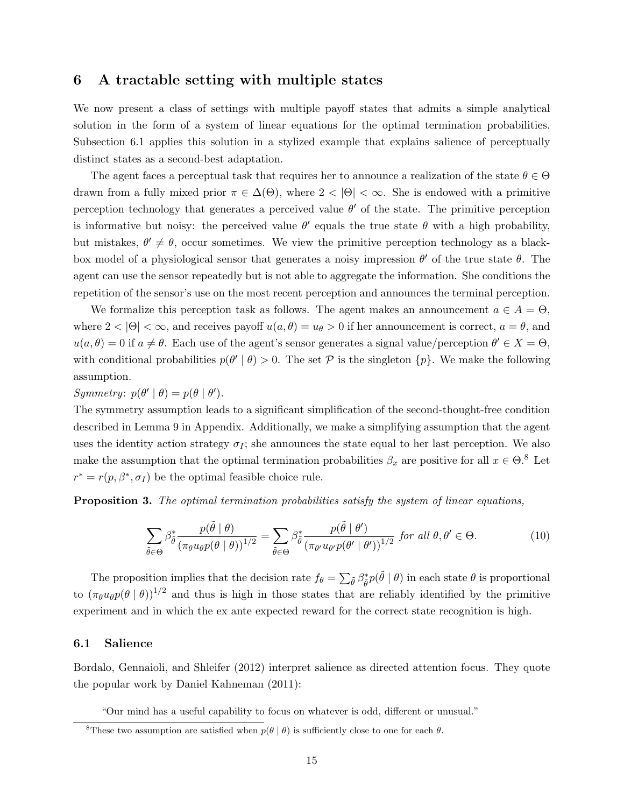### 6 A tractable setting with multiple states

We now present a class of settings with multiple payoff states that admits a simple analytical solution in the form of a system of linear equations for the optimal termination probabilities. Subsection 6.1 applies this solution in a stylized example that explains salience of perceptually distinct states as a second-best adaptation.

The agent faces a perceptual task that requires her to announce a realization of the state  $\theta \in \Theta$ drawn from a fully mixed prior  $\pi \in \Delta(\Theta)$ , where  $2 < |\Theta| < \infty$ . She is endowed with a primitive perception technology that generates a perceived value  $\theta'$  of the state. The primitive perception is informative but noisy: the perceived value  $\theta'$  equals the true state  $\theta$  with a high probability, but mistakes,  $\theta' \neq \theta$ , occur sometimes. We view the primitive perception technology as a blackbox model of a physiological sensor that generates a noisy impression  $\theta'$  of the true state  $\theta$ . The agent can use the sensor repeatedly but is not able to aggregate the information. She conditions the repetition of the sensor's use on the most recent perception and announces the terminal perception.

We formalize this perception task as follows. The agent makes an announcement  $a \in A = \Theta$ , where  $2 < |\Theta| < \infty$ , and receives payoff  $u(a, \theta) = u_{\theta} > 0$  if her announcement is correct,  $a = \theta$ , and  $u(a, \theta) = 0$  if  $a \neq \theta$ . Each use of the agent's sensor generates a signal value/perception  $\theta' \in X = \Theta$ , with conditional probabilities  $p(\theta' | \theta) > 0$ . The set P is the singleton  $\{p\}$ . We make the following assumption.

Symmetry:  $p(\theta' | \theta) = p(\theta | \theta').$ 

The symmetry assumption leads to a significant simplification of the second-thought-free condition described in Lemma 9 in Appendix. Additionally, we make a simplifying assumption that the agent uses the identity action strategy  $\sigma_I$ ; she announces the state equal to her last perception. We also make the assumption that the optimal termination probabilities  $\beta_x$  are positive for all  $x \in \Theta$ .<sup>8</sup> Let  $r^* = r(p, \beta^*, \sigma_I)$  be the optimal feasible choice rule.

Proposition 3. The optimal termination probabilities satisfy the system of linear equations,

$$
\sum_{\tilde{\theta}\in\Theta} \beta_{\tilde{\theta}}^* \frac{p(\tilde{\theta}\mid\theta)}{(\pi_{\theta}u_{\theta}p(\theta\mid\theta))^{1/2}} = \sum_{\tilde{\theta}\in\Theta} \beta_{\tilde{\theta}}^* \frac{p(\tilde{\theta}\mid\theta')}{(\pi_{\theta'}u_{\theta'}p(\theta'\mid\theta'))^{1/2}} \text{ for all } \theta, \theta'\in\Theta.
$$
 (10)

The proposition implies that the decision rate  $f_{\theta} = \sum_{\tilde{\theta}} \beta_{\tilde{\theta}}^* p(\tilde{\theta} | \theta)$  in each state  $\theta$  is proportional to  $(\pi_{\theta}u_{\theta}p(\theta \mid \theta))^{1/2}$  and thus is high in those states that are reliably identified by the primitive experiment and in which the ex ante expected reward for the correct state recognition is high.

#### 6.1 Salience

Bordalo, Gennaioli, and Shleifer (2012) interpret salience as directed attention focus. They quote the popular work by Daniel Kahneman (2011):

"Our mind has a useful capability to focus on whatever is odd, different or unusual."

<sup>&</sup>lt;sup>8</sup>These two assumption are satisfied when  $p(\theta | \theta)$  is sufficiently close to one for each  $\theta$ .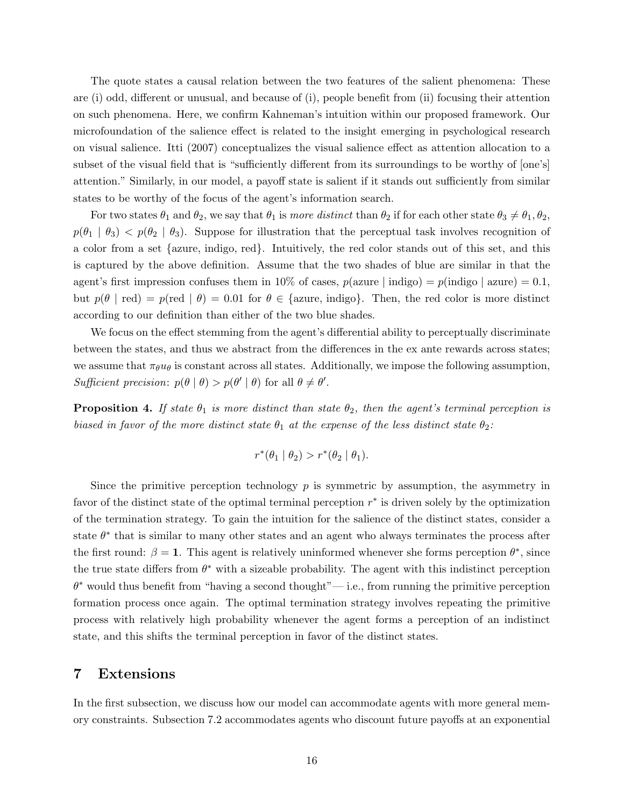The quote states a causal relation between the two features of the salient phenomena: These are (i) odd, different or unusual, and because of (i), people benefit from (ii) focusing their attention on such phenomena. Here, we confirm Kahneman's intuition within our proposed framework. Our microfoundation of the salience effect is related to the insight emerging in psychological research on visual salience. Itti (2007) conceptualizes the visual salience effect as attention allocation to a subset of the visual field that is "sufficiently different from its surroundings to be worthy of [one's] attention." Similarly, in our model, a payoff state is salient if it stands out sufficiently from similar states to be worthy of the focus of the agent's information search.

For two states  $\theta_1$  and  $\theta_2$ , we say that  $\theta_1$  is more distinct than  $\theta_2$  if for each other state  $\theta_3 \neq \theta_1, \theta_2$ ,  $p(\theta_1 | \theta_3) < p(\theta_2 | \theta_3)$ . Suppose for illustration that the perceptual task involves recognition of a color from a set {azure, indigo, red}. Intuitively, the red color stands out of this set, and this is captured by the above definition. Assume that the two shades of blue are similar in that the agent's first impression confuses them in 10% of cases,  $p(\text{azure } | \text{ indigo}) = p(\text{indigo } | \text{azure}) = 0.1$ , but  $p(\theta \mid \text{red}) = p(\text{red} \mid \theta) = 0.01$  for  $\theta \in \{\text{azure}, \text{indigo}\}\.$  Then, the red color is more distinct according to our definition than either of the two blue shades.

We focus on the effect stemming from the agent's differential ability to perceptually discriminate between the states, and thus we abstract from the differences in the ex ante rewards across states; we assume that  $\pi_{\theta}u_{\theta}$  is constant across all states. Additionally, we impose the following assumption, Sufficient precision:  $p(\theta | \theta) > p(\theta' | \theta)$  for all  $\theta \neq \theta'$ .

**Proposition 4.** If state  $\theta_1$  is more distinct than state  $\theta_2$ , then the agent's terminal perception is biased in favor of the more distinct state  $\theta_1$  at the expense of the less distinct state  $\theta_2$ :

$$
r^*(\theta_1 | \theta_2) > r^*(\theta_2 | \theta_1).
$$

Since the primitive perception technology  $p$  is symmetric by assumption, the asymmetry in favor of the distinct state of the optimal terminal perception  $r^*$  is driven solely by the optimization of the termination strategy. To gain the intuition for the salience of the distinct states, consider a state  $\theta^*$  that is similar to many other states and an agent who always terminates the process after the first round:  $\beta = 1$ . This agent is relatively uninformed whenever she forms perception  $\theta^*$ , since the true state differs from  $\theta^*$  with a sizeable probability. The agent with this indistinct perception  $\theta^*$  would thus benefit from "having a second thought"— i.e., from running the primitive perception formation process once again. The optimal termination strategy involves repeating the primitive process with relatively high probability whenever the agent forms a perception of an indistinct state, and this shifts the terminal perception in favor of the distinct states.

# 7 Extensions

In the first subsection, we discuss how our model can accommodate agents with more general memory constraints. Subsection 7.2 accommodates agents who discount future payoffs at an exponential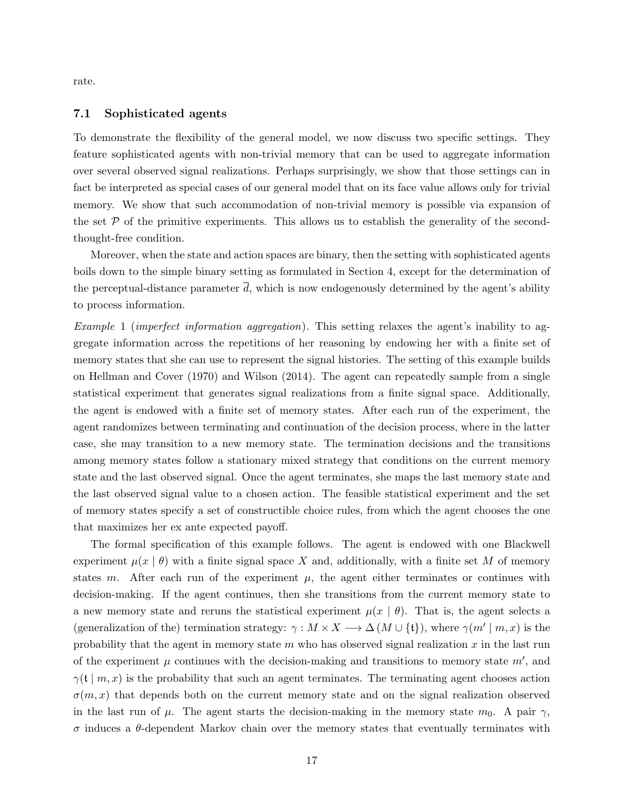rate.

#### 7.1 Sophisticated agents

To demonstrate the flexibility of the general model, we now discuss two specific settings. They feature sophisticated agents with non-trivial memory that can be used to aggregate information over several observed signal realizations. Perhaps surprisingly, we show that those settings can in fact be interpreted as special cases of our general model that on its face value allows only for trivial memory. We show that such accommodation of non-trivial memory is possible via expansion of the set  $P$  of the primitive experiments. This allows us to establish the generality of the secondthought-free condition.

Moreover, when the state and action spaces are binary, then the setting with sophisticated agents boils down to the simple binary setting as formulated in Section 4, except for the determination of the perceptual-distance parameter  $\overline{d}$ , which is now endogenously determined by the agent's ability to process information.

Example 1 (imperfect information aggregation). This setting relaxes the agent's inability to aggregate information across the repetitions of her reasoning by endowing her with a finite set of memory states that she can use to represent the signal histories. The setting of this example builds on Hellman and Cover (1970) and Wilson (2014). The agent can repeatedly sample from a single statistical experiment that generates signal realizations from a finite signal space. Additionally, the agent is endowed with a finite set of memory states. After each run of the experiment, the agent randomizes between terminating and continuation of the decision process, where in the latter case, she may transition to a new memory state. The termination decisions and the transitions among memory states follow a stationary mixed strategy that conditions on the current memory state and the last observed signal. Once the agent terminates, she maps the last memory state and the last observed signal value to a chosen action. The feasible statistical experiment and the set of memory states specify a set of constructible choice rules, from which the agent chooses the one that maximizes her ex ante expected payoff.

The formal specification of this example follows. The agent is endowed with one Blackwell experiment  $\mu(x | \theta)$  with a finite signal space X and, additionally, with a finite set M of memory states m. After each run of the experiment  $\mu$ , the agent either terminates or continues with decision-making. If the agent continues, then she transitions from the current memory state to a new memory state and reruns the statistical experiment  $\mu(x \mid \theta)$ . That is, the agent selects a (generalization of the) termination strategy:  $\gamma : M \times X \longrightarrow \Delta (M \cup \{t\})$ , where  $\gamma(m' \mid m, x)$  is the probability that the agent in memory state  $m$  who has observed signal realization  $x$  in the last run of the experiment  $\mu$  continues with the decision-making and transitions to memory state  $m'$ , and  $\gamma(\mathfrak{t} \mid m, x)$  is the probability that such an agent terminates. The terminating agent chooses action  $\sigma(m, x)$  that depends both on the current memory state and on the signal realization observed in the last run of  $\mu$ . The agent starts the decision-making in the memory state  $m_0$ . A pair  $\gamma$ , σ induces a θ-dependent Markov chain over the memory states that eventually terminates with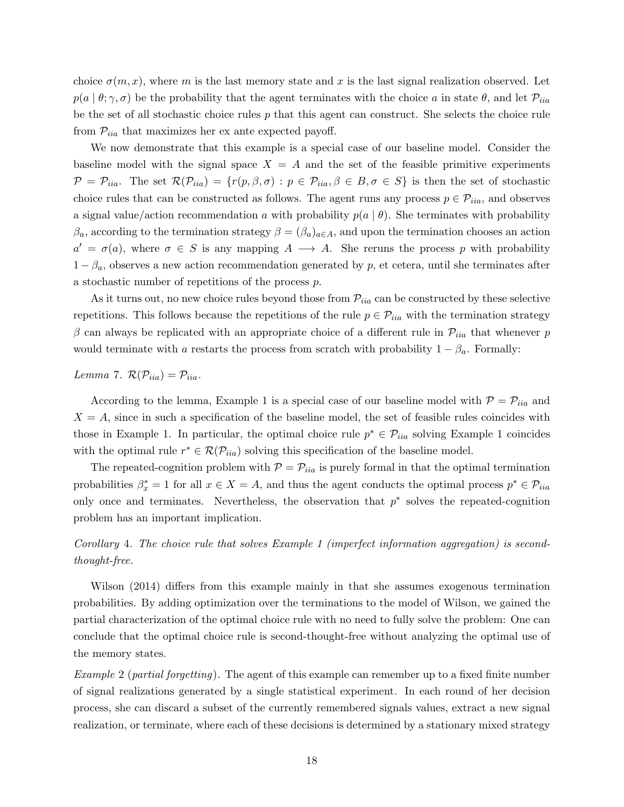choice  $\sigma(m, x)$ , where m is the last memory state and x is the last signal realization observed. Let  $p(a | \theta; \gamma, \sigma)$  be the probability that the agent terminates with the choice a in state  $\theta$ , and let  $\mathcal{P}_{iia}$ be the set of all stochastic choice rules  $p$  that this agent can construct. She selects the choice rule from  $\mathcal{P}_{iia}$  that maximizes her ex ante expected payoff.

We now demonstrate that this example is a special case of our baseline model. Consider the baseline model with the signal space  $X = A$  and the set of the feasible primitive experiments  $\mathcal{P} = \mathcal{P}_{iia}.$  The set  $\mathcal{R}(\mathcal{P}_{iia}) = \{r(p, \beta, \sigma) : p \in \mathcal{P}_{iia}, \beta \in B, \sigma \in S\}$  is then the set of stochastic choice rules that can be constructed as follows. The agent runs any process  $p \in \mathcal{P}_{iia}$ , and observes a signal value/action recommendation a with probability  $p(a | \theta)$ . She terminates with probability  $\beta_a$ , according to the termination strategy  $\beta = (\beta_a)_{a \in A}$ , and upon the termination chooses an action  $a' = \sigma(a)$ , where  $\sigma \in S$  is any mapping  $A \longrightarrow A$ . She reruns the process p with probability  $1 - \beta_a$ , observes a new action recommendation generated by p, et cetera, until she terminates after a stochastic number of repetitions of the process p.

As it turns out, no new choice rules beyond those from  $\mathcal{P}_{iia}$  can be constructed by these selective repetitions. This follows because the repetitions of the rule  $p \in \mathcal{P}_{iia}$  with the termination strategy β can always be replicated with an appropriate choice of a different rule in  $\mathcal{P}_{iia}$  that whenever p would terminate with a restarts the process from scratch with probability  $1 - \beta_a$ . Formally:

### Lemma 7.  $\mathcal{R}(\mathcal{P}_{iia}) = \mathcal{P}_{iia}$ .

According to the lemma, Example 1 is a special case of our baseline model with  $P = P_{iia}$  and  $X = A$ , since in such a specification of the baseline model, the set of feasible rules coincides with those in Example 1. In particular, the optimal choice rule  $p^* \in \mathcal{P}_{iia}$  solving Example 1 coincides with the optimal rule  $r^* \in \mathcal{R}(\mathcal{P}_{iia})$  solving this specification of the baseline model.

The repeated-cognition problem with  $P = P_{iia}$  is purely formal in that the optimal termination probabilities  $\beta_x^* = 1$  for all  $x \in X = A$ , and thus the agent conducts the optimal process  $p^* \in \mathcal{P}_{iia}$ only once and terminates. Nevertheless, the observation that  $p^*$  solves the repeated-cognition problem has an important implication.

# Corollary 4. The choice rule that solves Example 1 (imperfect information aggregation) is secondthought-free.

Wilson (2014) differs from this example mainly in that she assumes exogenous termination probabilities. By adding optimization over the terminations to the model of Wilson, we gained the partial characterization of the optimal choice rule with no need to fully solve the problem: One can conclude that the optimal choice rule is second-thought-free without analyzing the optimal use of the memory states.

Example 2 (partial forgetting). The agent of this example can remember up to a fixed finite number of signal realizations generated by a single statistical experiment. In each round of her decision process, she can discard a subset of the currently remembered signals values, extract a new signal realization, or terminate, where each of these decisions is determined by a stationary mixed strategy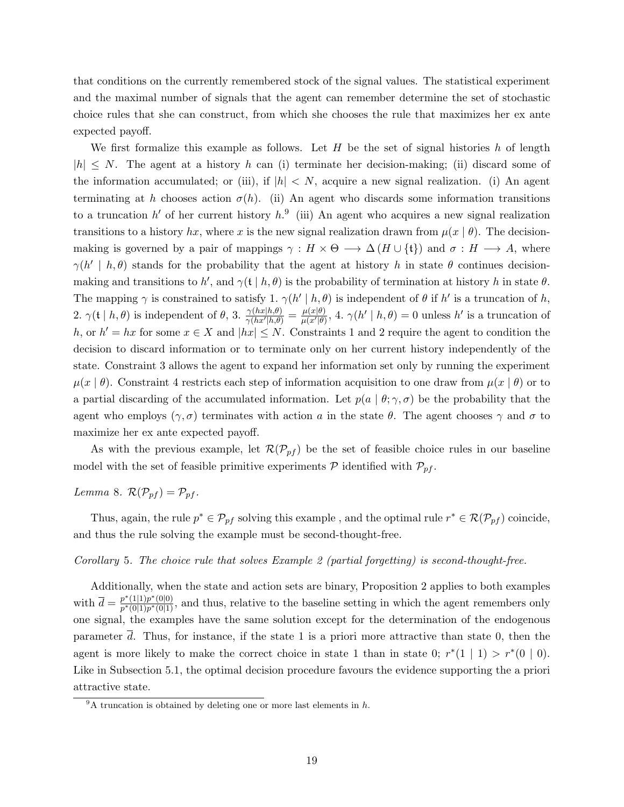that conditions on the currently remembered stock of the signal values. The statistical experiment and the maximal number of signals that the agent can remember determine the set of stochastic choice rules that she can construct, from which she chooses the rule that maximizes her ex ante expected payoff.

We first formalize this example as follows. Let  $H$  be the set of signal histories  $h$  of length  $|h| \leq N$ . The agent at a history h can (i) terminate her decision-making; (ii) discard some of the information accumulated; or (iii), if  $|h| < N$ , acquire a new signal realization. (i) An agent terminating at h chooses action  $\sigma(h)$ . (ii) An agent who discards some information transitions to a truncation h' of her current history h.<sup>9</sup> (iii) An agent who acquires a new signal realization transitions to a history hx, where x is the new signal realization drawn from  $\mu(x | \theta)$ . The decisionmaking is governed by a pair of mappings  $\gamma : H \times \Theta \longrightarrow \Delta(H \cup \{t\})$  and  $\sigma : H \longrightarrow A$ , where  $\gamma(h' \mid h, \theta)$  stands for the probability that the agent at history h in state  $\theta$  continues decisionmaking and transitions to h', and  $\gamma(\mathfrak{t} \mid h, \theta)$  is the probability of termination at history h in state  $\theta$ . The mapping  $\gamma$  is constrained to satisfy 1.  $\gamma(h' \mid h, \theta)$  is independent of  $\theta$  if  $h'$  is a truncation of  $h$ , 2.  $\gamma(\mathfrak{t} \mid h, \theta)$  is independent of  $\theta$ , 3.  $\frac{\gamma(hx|h,\theta)}{\gamma(hx'|h,\theta)} = \frac{\mu(x|\theta)}{\mu(x'|\theta)}$  $\frac{\mu(x|\theta)}{\mu(x'|\theta)},$  4.  $\gamma(h' | h, \theta) = 0$  unless h' is a truncation of h, or  $h' = hx$  for some  $x \in X$  and  $\vert hx \vert \leq N$ . Constraints 1 and 2 require the agent to condition the decision to discard information or to terminate only on her current history independently of the state. Constraint 3 allows the agent to expand her information set only by running the experiment  $\mu(x | \theta)$ . Constraint 4 restricts each step of information acquisition to one draw from  $\mu(x | \theta)$  or to a partial discarding of the accumulated information. Let  $p(a | \theta; \gamma, \sigma)$  be the probability that the agent who employs  $(\gamma, \sigma)$  terminates with action a in the state  $\theta$ . The agent chooses  $\gamma$  and  $\sigma$  to maximize her ex ante expected payoff.

As with the previous example, let  $\mathcal{R}(\mathcal{P}_{pf})$  be the set of feasible choice rules in our baseline model with the set of feasible primitive experiments  $P$  identified with  $P_{pf}$ .

Lemma 8.  $\mathcal{R}(\mathcal{P}_{pf}) = \mathcal{P}_{pf}$ .

Thus, again, the rule  $p^* \in \mathcal{P}_{pf}$  solving this example, and the optimal rule  $r^* \in \mathcal{R}(\mathcal{P}_{pf})$  coincide, and thus the rule solving the example must be second-thought-free.

#### Corollary 5. The choice rule that solves Example 2 (partial forgetting) is second-thought-free.

Additionally, when the state and action sets are binary, Proposition 2 applies to both examples with  $\bar{d} = \frac{p^*(1|1)p^*(0|0)}{p^*(0|1)p^*(0|1)}$  $\frac{p^{\alpha}(1|1)p^{\alpha}(0|0)}{p^*(0|1)p^*(0|1)},$  and thus, relative to the baseline setting in which the agent remembers only one signal, the examples have the same solution except for the determination of the endogenous parameter d. Thus, for instance, if the state 1 is a priori more attractive than state 0, then the agent is more likely to make the correct choice in state 1 than in state 0;  $r^*(1 \mid 1) > r^*(0 \mid 0)$ . Like in Subsection 5.1, the optimal decision procedure favours the evidence supporting the a priori attractive state.

 $9^9$ A truncation is obtained by deleting one or more last elements in h.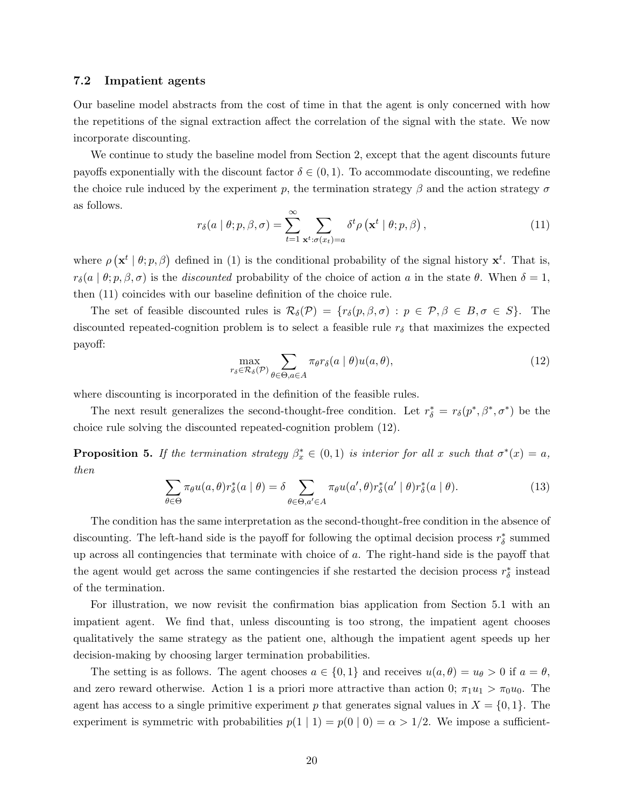#### 7.2 Impatient agents

Our baseline model abstracts from the cost of time in that the agent is only concerned with how the repetitions of the signal extraction affect the correlation of the signal with the state. We now incorporate discounting.

We continue to study the baseline model from Section 2, except that the agent discounts future payoffs exponentially with the discount factor  $\delta \in (0,1)$ . To accommodate discounting, we redefine the choice rule induced by the experiment p, the termination strategy  $\beta$  and the action strategy  $\sigma$ as follows.

$$
r_{\delta}(a \mid \theta; p, \beta, \sigma) = \sum_{t=1}^{\infty} \sum_{\mathbf{x}^t : \sigma(x_t) = a} \delta^t \rho\left(\mathbf{x}^t \mid \theta; p, \beta\right),\tag{11}
$$

where  $\rho(\mathbf{x}^t | \theta; p, \beta)$  defined in (1) is the conditional probability of the signal history  $\mathbf{x}^t$ . That is,  $r_\delta(a | \theta; p, \beta, \sigma)$  is the *discounted* probability of the choice of action a in the state  $\theta$ . When  $\delta = 1$ , then (11) coincides with our baseline definition of the choice rule.

The set of feasible discounted rules is  $\mathcal{R}_{\delta}(\mathcal{P}) = \{r_{\delta}(p,\beta,\sigma) : p \in \mathcal{P}, \beta \in B, \sigma \in S\}.$  The discounted repeated-cognition problem is to select a feasible rule  $r<sub>\delta</sub>$  that maximizes the expected payoff:

$$
\max_{r_{\delta}\in\mathcal{R}_{\delta}(\mathcal{P})} \sum_{\theta\in\Theta, a\in A} \pi_{\theta} r_{\delta}(a \mid \theta) u(a, \theta),\tag{12}
$$

where discounting is incorporated in the definition of the feasible rules.

The next result generalizes the second-thought-free condition. Let  $r^*_{\delta} = r_{\delta}(p^*, \beta^*, \sigma^*)$  be the choice rule solving the discounted repeated-cognition problem (12).

**Proposition 5.** If the termination strategy  $\beta_x^* \in (0,1)$  is interior for all x such that  $\sigma^*(x) = a$ , then

$$
\sum_{\theta \in \Theta} \pi_{\theta} u(a,\theta) r_{\delta}^*(a \mid \theta) = \delta \sum_{\theta \in \Theta, a' \in A} \pi_{\theta} u(a',\theta) r_{\delta}^*(a' \mid \theta) r_{\delta}^*(a \mid \theta).
$$
\n(13)

The condition has the same interpretation as the second-thought-free condition in the absence of discounting. The left-hand side is the payoff for following the optimal decision process  $r^*_{\delta}$  summed up across all contingencies that terminate with choice of a. The right-hand side is the payoff that the agent would get across the same contingencies if she restarted the decision process  $r^*_\delta$  instead of the termination.

For illustration, we now revisit the confirmation bias application from Section 5.1 with an impatient agent. We find that, unless discounting is too strong, the impatient agent chooses qualitatively the same strategy as the patient one, although the impatient agent speeds up her decision-making by choosing larger termination probabilities.

The setting is as follows. The agent chooses  $a \in \{0,1\}$  and receives  $u(a,\theta) = u_{\theta} > 0$  if  $a = \theta$ , and zero reward otherwise. Action 1 is a priori more attractive than action 0;  $\pi_1 u_1 > \pi_0 u_0$ . The agent has access to a single primitive experiment p that generates signal values in  $X = \{0, 1\}$ . The experiment is symmetric with probabilities  $p(1 | 1) = p(0 | 0) = \alpha > 1/2$ . We impose a sufficient-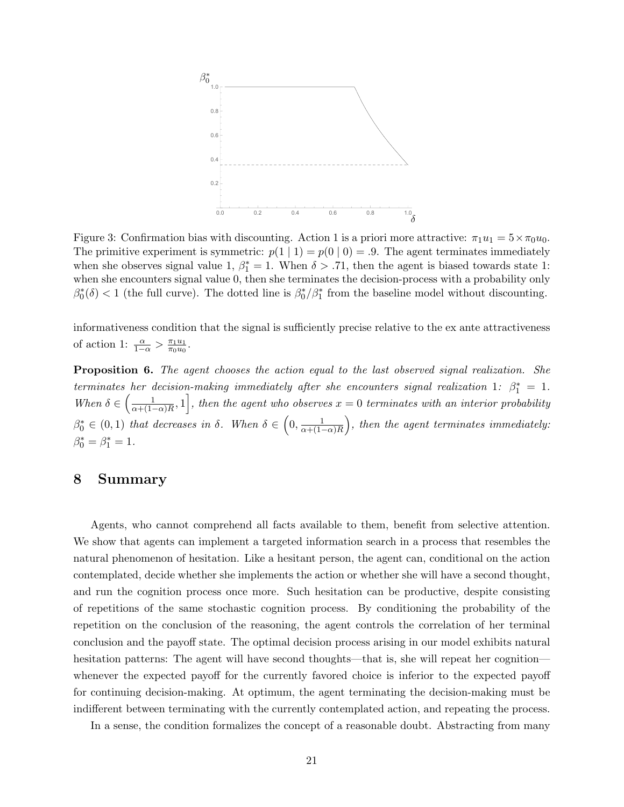

Figure 3: Confirmation bias with discounting. Action 1 is a priori more attractive:  $\pi_1u_1 = 5 \times \pi_0u_0$ . The primitive experiment is symmetric:  $p(1 | 1) = p(0 | 0) = .9$ . The agent terminates immediately when she observes signal value 1,  $\beta_1^* = 1$ . When  $\delta > .71$ , then the agent is biased towards state 1: when she encounters signal value 0, then she terminates the decision-process with a probability only  $\beta_0^*(\delta) < 1$  (the full curve). The dotted line is  $\beta_0^*/\beta_1^*$  from the baseline model without discounting.

informativeness condition that the signal is sufficiently precise relative to the ex ante attractiveness of action 1:  $\frac{\alpha}{1-\alpha} > \frac{\pi_1 u_1}{\pi_0 u_0}$  $\frac{\pi_1u_1}{\pi_0u_0}$ .

**Proposition 6.** The agent chooses the action equal to the last observed signal realization. She terminates her decision-making immediately after she encounters signal realization 1:  $\beta_1^* = 1$ . When  $\delta \in \left(\frac{1}{\alpha + (1-\epsilon)}\right)$  $\frac{1}{\alpha+(1-\alpha)R},1\Big]$ , then the agent who observes  $x=0$  terminates with an interior probability  $\beta_0^* \in (0,1)$  that decreases in  $\delta$ . When  $\delta \in \left(0, \frac{1}{\alpha + (1 - \epsilon)}\right)$  $\frac{1}{\alpha+(1-\alpha)R}\Big),$  then the agent terminates immediately:  $\beta_0^* = \beta_1^* = 1.$ 

### 8 Summary

Agents, who cannot comprehend all facts available to them, benefit from selective attention. We show that agents can implement a targeted information search in a process that resembles the natural phenomenon of hesitation. Like a hesitant person, the agent can, conditional on the action contemplated, decide whether she implements the action or whether she will have a second thought, and run the cognition process once more. Such hesitation can be productive, despite consisting of repetitions of the same stochastic cognition process. By conditioning the probability of the repetition on the conclusion of the reasoning, the agent controls the correlation of her terminal conclusion and the payoff state. The optimal decision process arising in our model exhibits natural hesitation patterns: The agent will have second thoughts—that is, she will repeat her cognition whenever the expected payoff for the currently favored choice is inferior to the expected payoff for continuing decision-making. At optimum, the agent terminating the decision-making must be indifferent between terminating with the currently contemplated action, and repeating the process.

In a sense, the condition formalizes the concept of a reasonable doubt. Abstracting from many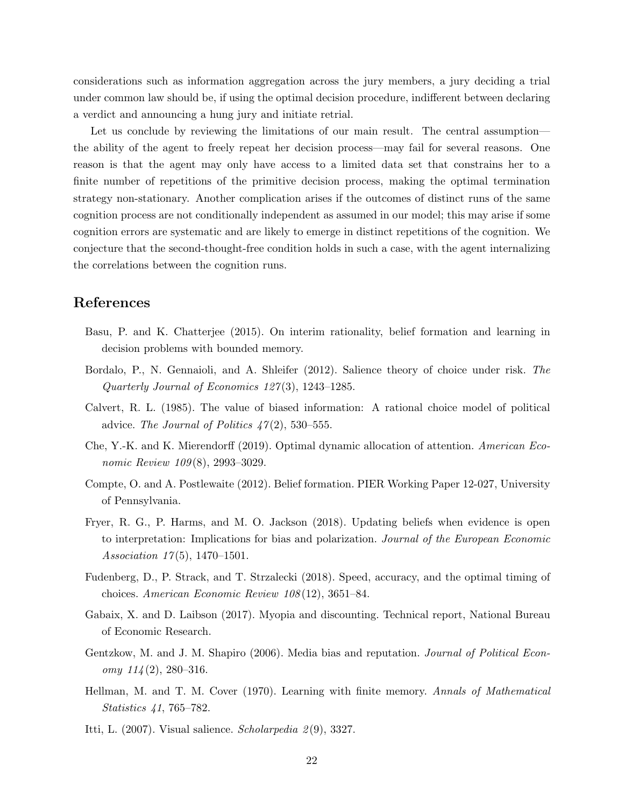considerations such as information aggregation across the jury members, a jury deciding a trial under common law should be, if using the optimal decision procedure, indifferent between declaring a verdict and announcing a hung jury and initiate retrial.

Let us conclude by reviewing the limitations of our main result. The central assumption the ability of the agent to freely repeat her decision process—may fail for several reasons. One reason is that the agent may only have access to a limited data set that constrains her to a finite number of repetitions of the primitive decision process, making the optimal termination strategy non-stationary. Another complication arises if the outcomes of distinct runs of the same cognition process are not conditionally independent as assumed in our model; this may arise if some cognition errors are systematic and are likely to emerge in distinct repetitions of the cognition. We conjecture that the second-thought-free condition holds in such a case, with the agent internalizing the correlations between the cognition runs.

# References

- Basu, P. and K. Chatterjee (2015). On interim rationality, belief formation and learning in decision problems with bounded memory.
- Bordalo, P., N. Gennaioli, and A. Shleifer (2012). Salience theory of choice under risk. The Quarterly Journal of Economics  $127(3)$ , 1243-1285.
- Calvert, R. L. (1985). The value of biased information: A rational choice model of political advice. The Journal of Politics  $47(2)$ , 530–555.
- Che, Y.-K. and K. Mierendorff (2019). Optimal dynamic allocation of attention. American Economic Review 109(8), 2993-3029.
- Compte, O. and A. Postlewaite (2012). Belief formation. PIER Working Paper 12-027, University of Pennsylvania.
- Fryer, R. G., P. Harms, and M. O. Jackson (2018). Updating beliefs when evidence is open to interpretation: Implications for bias and polarization. Journal of the European Economic Association  $17(5)$ , 1470–1501.
- Fudenberg, D., P. Strack, and T. Strzalecki (2018). Speed, accuracy, and the optimal timing of choices. American Economic Review 108 (12), 3651–84.
- Gabaix, X. and D. Laibson (2017). Myopia and discounting. Technical report, National Bureau of Economic Research.
- Gentzkow, M. and J. M. Shapiro (2006). Media bias and reputation. *Journal of Political Econ*omy  $114(2)$ , 280-316.
- Hellman, M. and T. M. Cover (1970). Learning with finite memory. Annals of Mathematical Statistics 41, 765–782.
- Itti, L. (2007). Visual salience. Scholarpedia 2(9), 3327.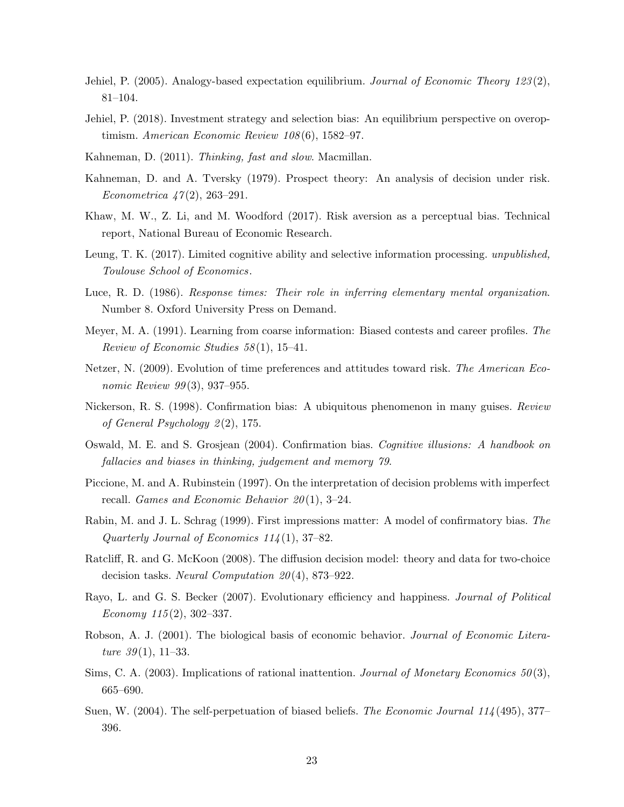- Jehiel, P. (2005). Analogy-based expectation equilibrium. Journal of Economic Theory  $123(2)$ , 81–104.
- Jehiel, P. (2018). Investment strategy and selection bias: An equilibrium perspective on overoptimism. American Economic Review 108(6), 1582–97.
- Kahneman, D. (2011). Thinking, fast and slow. Macmillan.
- Kahneman, D. and A. Tversky (1979). Prospect theory: An analysis of decision under risk. Econometrica  $47(2)$ , 263-291.
- Khaw, M. W., Z. Li, and M. Woodford (2017). Risk aversion as a perceptual bias. Technical report, National Bureau of Economic Research.
- Leung, T. K. (2017). Limited cognitive ability and selective information processing. *unpublished*, Toulouse School of Economics.
- Luce, R. D. (1986). Response times: Their role in inferring elementary mental organization. Number 8. Oxford University Press on Demand.
- Meyer, M. A. (1991). Learning from coarse information: Biased contests and career profiles. The Review of Economic Studies 58 (1), 15–41.
- Netzer, N. (2009). Evolution of time preferences and attitudes toward risk. The American Economic Review 99(3), 937-955.
- Nickerson, R. S. (1998). Confirmation bias: A ubiquitous phenomenon in many guises. Review of General Psychology  $2(2)$ , 175.
- Oswald, M. E. and S. Grosjean (2004). Confirmation bias. Cognitive illusions: A handbook on fallacies and biases in thinking, judgement and memory 79.
- Piccione, M. and A. Rubinstein (1997). On the interpretation of decision problems with imperfect recall. Games and Economic Behavior  $20(1)$ , 3-24.
- Rabin, M. and J. L. Schrag (1999). First impressions matter: A model of confirmatory bias. The Quarterly Journal of Economics  $11/4(1)$ , 37–82.
- Ratcliff, R. and G. McKoon (2008). The diffusion decision model: theory and data for two-choice decision tasks. Neural Computation  $20(4)$ , 873–922.
- Rayo, L. and G. S. Becker (2007). Evolutionary efficiency and happiness. *Journal of Political* Economy  $115(2)$ , 302–337.
- Robson, A. J. (2001). The biological basis of economic behavior. *Journal of Economic Litera*ture  $39(1)$ , 11–33.
- Sims, C. A. (2003). Implications of rational inattention. Journal of Monetary Economics 50(3), 665–690.
- Suen, W. (2004). The self-perpetuation of biased beliefs. The Economic Journal 114 (495), 377– 396.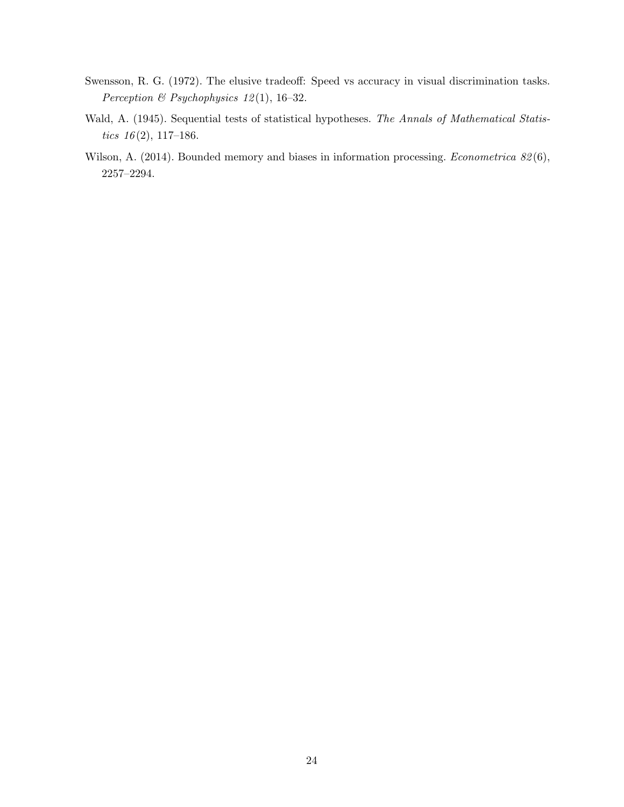- Swensson, R. G. (1972). The elusive tradeoff: Speed vs accuracy in visual discrimination tasks. Perception & Psychophysics 12 (1), 16–32.
- Wald, A. (1945). Sequential tests of statistical hypotheses. The Annals of Mathematical Statistics  $16(2)$ , 117-186.
- Wilson, A. (2014). Bounded memory and biases in information processing. *Econometrica 82*(6), 2257–2294.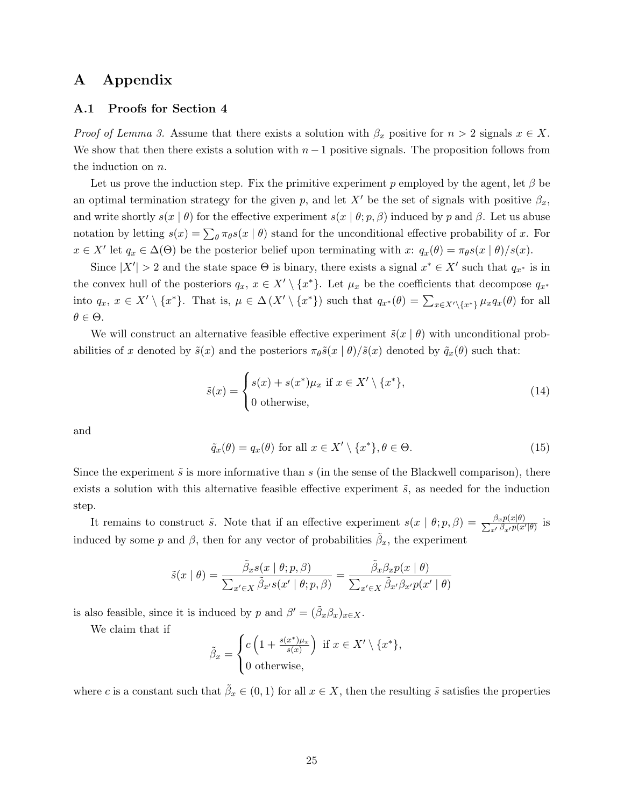# A Appendix

#### A.1 Proofs for Section 4

*Proof of Lemma 3.* Assume that there exists a solution with  $\beta_x$  positive for  $n > 2$  signals  $x \in X$ . We show that then there exists a solution with  $n-1$  positive signals. The proposition follows from the induction on n.

Let us prove the induction step. Fix the primitive experiment p employed by the agent, let  $\beta$  be an optimal termination strategy for the given p, and let X' be the set of signals with positive  $\beta_x$ , and write shortly  $s(x | \theta)$  for the effective experiment  $s(x | \theta; p, \beta)$  induced by p and  $\beta$ . Let us abuse notation by letting  $s(x) = \sum_{\theta} \pi_{\theta} s(x | \theta)$  stand for the unconditional effective probability of x. For  $x \in X'$  let  $q_x \in \Delta(\Theta)$  be the posterior belief upon terminating with  $x: q_x(\theta) = \pi_{\theta} s(x \mid \theta)/s(x)$ .

Since  $|X'| > 2$  and the state space  $\Theta$  is binary, there exists a signal  $x^* \in X'$  such that  $q_{x^*}$  is in the convex hull of the posteriors  $q_x, x \in X' \setminus \{x^*\}$ . Let  $\mu_x$  be the coefficients that decompose  $q_{x^*}$ into  $q_x, x \in X' \setminus \{x^*\}.$  That is,  $\mu \in \Delta(X' \setminus \{x^*\})$  such that  $q_{x^*}(\theta) = \sum_{x \in X' \setminus \{x^*\}} \mu_x q_x(\theta)$  for all  $\theta \in \Theta$ .

We will construct an alternative feasible effective experiment  $\tilde{s}(x | \theta)$  with unconditional probabilities of x denoted by  $\tilde{s}(x)$  and the posteriors  $\pi_{\theta}\tilde{s}(x \mid \theta)/\tilde{s}(x)$  denoted by  $\tilde{q}_x(\theta)$  such that:

$$
\tilde{s}(x) = \begin{cases} s(x) + s(x^*)\mu_x \text{ if } x \in X' \setminus \{x^*\}, \\ 0 \text{ otherwise,} \end{cases}
$$
\n(14)

and

$$
\tilde{q}_x(\theta) = q_x(\theta) \text{ for all } x \in X' \setminus \{x^*\}, \theta \in \Theta.
$$
\n(15)

Since the experiment  $\tilde{s}$  is more informative than s (in the sense of the Blackwell comparison), there exists a solution with this alternative feasible effective experiment  $\tilde{s}$ , as needed for the induction step.

It remains to construct  $\tilde{s}$ . Note that if an effective experiment  $s(x | \theta; p, \beta) = \frac{\beta_x p(x|\theta)}{\sum_{x'} \beta_{x'} p(x')}$  $\frac{\beta x p(x|\theta)}{x^{\prime} \beta_{x^{\prime}} p(x'|\theta)}$  is induced by some p and  $\beta$ , then for any vector of probabilities  $\tilde{\beta}_x$ , the experiment

$$
\tilde{s}(x \mid \theta) = \frac{\tilde{\beta}_x s(x \mid \theta; p, \beta)}{\sum_{x' \in X} \tilde{\beta}_{x'} s(x' \mid \theta; p, \beta)} = \frac{\tilde{\beta}_x \beta_x p(x \mid \theta)}{\sum_{x' \in X} \tilde{\beta}_{x'} \beta_{x'} p(x' \mid \theta)}
$$

is also feasible, since it is induced by p and  $\beta' = (\tilde{\beta}_x \beta_x)_{x \in X}$ .

We claim that if

$$
\tilde{\beta}_x = \begin{cases} c\left(1 + \frac{s(x^*)\mu_x}{s(x)}\right) & \text{if } x \in X' \setminus \{x^*\}, \\ 0 & \text{otherwise,} \end{cases}
$$

where c is a constant such that  $\tilde{\beta}_x \in (0,1)$  for all  $x \in X$ , then the resulting  $\tilde{s}$  satisfies the properties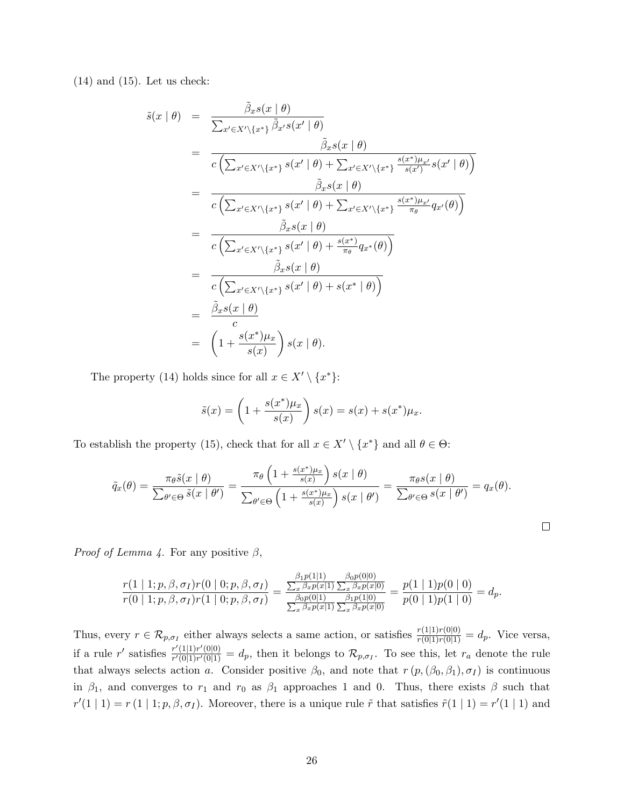$(14)$  and  $(15)$ . Let us check:

$$
\tilde{s}(x \mid \theta) = \frac{\tilde{\beta}_{x} s(x \mid \theta)}{\sum_{x' \in X' \setminus \{x^{*}\}} \tilde{\beta}_{x'} s(x' \mid \theta)} \n= \frac{\tilde{\beta}_{x} s(x \mid \theta)}{c \left(\sum_{x' \in X' \setminus \{x^{*}\}} s(x' \mid \theta) + \sum_{x' \in X' \setminus \{x^{*}\}} \frac{s(x^{*})\mu_{x'}}{s(x')} s(x' \mid \theta)\right)} \n= \frac{\tilde{\beta}_{x} s(x \mid \theta)}{c \left(\sum_{x' \in X' \setminus \{x^{*}\}} s(x' \mid \theta) + \sum_{x' \in X' \setminus \{x^{*}\}} \frac{s(x^{*})\mu_{x'}}{\pi_{\theta}} q_{x'}(\theta)\right)} \n= \frac{\tilde{\beta}_{x} s(x \mid \theta)}{c \left(\sum_{x' \in X' \setminus \{x^{*}\}} s(x' \mid \theta) + \frac{s(x^{*})}{\pi_{\theta}} q_{x^{*}}(\theta)\right)} \n= \frac{\tilde{\beta}_{x} s(x \mid \theta)}{c \left(\sum_{x' \in X' \setminus \{x^{*}\}} s(x' \mid \theta) + s(x^{*} \mid \theta)\right)} \n= \frac{\tilde{\beta}_{x} s(x \mid \theta)}{c} \n= \left(1 + \frac{s(x^{*})\mu_{x}}{s(x)}\right) s(x \mid \theta).
$$

The property (14) holds since for all  $x \in X' \setminus \{x^*\}$ :

$$
\tilde{s}(x) = \left(1 + \frac{s(x^*)\mu_x}{s(x)}\right)s(x) = s(x) + s(x^*)\mu_x.
$$

To establish the property (15), check that for all  $x \in X' \setminus \{x^*\}$  and all  $\theta \in \Theta$ :

$$
\tilde{q}_x(\theta) = \frac{\pi_\theta \tilde{s}(x \mid \theta)}{\sum_{\theta' \in \Theta} \tilde{s}(x \mid \theta')} = \frac{\pi_\theta \left(1 + \frac{s(x^*)\mu_x}{s(x)}\right) s(x \mid \theta)}{\sum_{\theta' \in \Theta} \left(1 + \frac{s(x^*)\mu_x}{s(x)}\right) s(x \mid \theta')} = \frac{\pi_\theta s(x \mid \theta)}{\sum_{\theta' \in \Theta} s(x \mid \theta')} = q_x(\theta).
$$

 $\Box$ 

*Proof of Lemma 4.* For any positive  $\beta$ ,

$$
\frac{r(1 | 1; p, \beta, \sigma_I) r(0 | 0; p, \beta, \sigma_I)}{r(0 | 1; p, \beta, \sigma_I) r(1 | 0; p, \beta, \sigma_I)} = \frac{\frac{\beta_1 p(1 | 1)}{\sum_x \beta_x p(x | 1)} \frac{\beta_0 p(0 | 0)}{\sum_x \beta_x p(x | 0)}}{\frac{\beta_0 p(0 | 1)}{\sum_x \beta_x p(x | 1)} \frac{\beta_1 p(1 | 0)}{\sum_x \beta_x p(x | 0)}} = \frac{p(1 | 1)p(0 | 0)}{p(0 | 1)p(1 | 0)} = d_p.
$$

Thus, every  $r \in \mathcal{R}_{p,\sigma_I}$  either always selects a same action, or satisfies  $\frac{r(1|1)r(0|0)}{r(0|1)r(0|1)} = d_p$ . Vice versa, if a rule r' satisfies  $\frac{r'(1|1)r'(0|0)}{r'(0|1)r'(0|1)}$  $\frac{d\mathcal{F}(1|1)\mathcal{F}(0|1)}{d\mathcal{F}'(0|1)\mathcal{F}'(0|1)}=d_p$ , then it belongs to  $\mathcal{R}_{p,\sigma_I}$ . To see this, let  $r_a$  denote the rule that always selects action a. Consider positive  $\beta_0$ , and note that  $r(p,(\beta_0,\beta_1),\sigma_I)$  is continuous in  $\beta_1$ , and converges to  $r_1$  and  $r_0$  as  $\beta_1$  approaches 1 and 0. Thus, there exists  $\beta$  such that  $r'(1 \mid 1) = r(1 \mid 1; p, \beta, \sigma_I)$ . Moreover, there is a unique rule  $\tilde{r}$  that satisfies  $\tilde{r}(1 \mid 1) = r'(1 \mid 1)$  and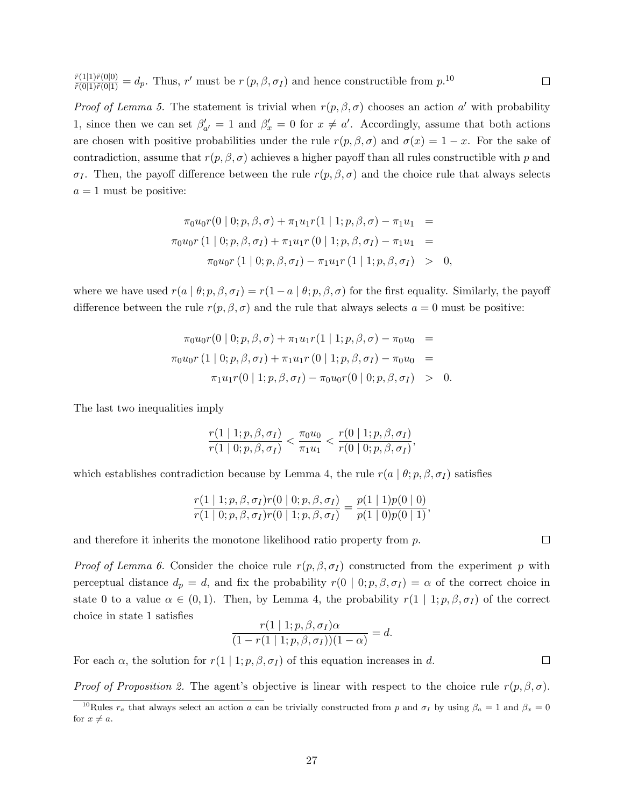$\frac{\tilde{r}(1|1)\tilde{r}(0|0)}{\tilde{r}(0|1)\tilde{r}(0|1)}=d_p$ . Thus, r' must be  $r(p,\beta,\sigma_I)$  and hence constructible from  $p.10$  $\Box$ 

*Proof of Lemma 5.* The statement is trivial when  $r(p, \beta, \sigma)$  chooses an action a' with probability 1, since then we can set  $\beta'_{a'} = 1$  and  $\beta'_{x} = 0$  for  $x \neq a'$ . Accordingly, assume that both actions are chosen with positive probabilities under the rule  $r(p, \beta, \sigma)$  and  $\sigma(x) = 1 - x$ . For the sake of contradiction, assume that  $r(p, \beta, \sigma)$  achieves a higher payoff than all rules constructible with p and σ<sub>I</sub>. Then, the payoff difference between the rule  $r(p, β, σ)$  and the choice rule that always selects  $a = 1$  must be positive:

$$
\pi_0 u_0 r(0 | 0; p, \beta, \sigma) + \pi_1 u_1 r(1 | 1; p, \beta, \sigma) - \pi_1 u_1 =
$$
  
\n
$$
\pi_0 u_0 r(1 | 0; p, \beta, \sigma_I) + \pi_1 u_1 r(0 | 1; p, \beta, \sigma_I) - \pi_1 u_1 =
$$
  
\n
$$
\pi_0 u_0 r(1 | 0; p, \beta, \sigma_I) - \pi_1 u_1 r(1 | 1; p, \beta, \sigma_I) > 0,
$$

where we have used  $r(a | \theta; p, \beta, \sigma_I) = r(1 - a | \theta; p, \beta, \sigma)$  for the first equality. Similarly, the payoff difference between the rule  $r(p, \beta, \sigma)$  and the rule that always selects  $a = 0$  must be positive:

$$
\pi_0 u_0 r(0 | 0; p, \beta, \sigma) + \pi_1 u_1 r(1 | 1; p, \beta, \sigma) - \pi_0 u_0 =
$$
  
\n
$$
\pi_0 u_0 r(1 | 0; p, \beta, \sigma_I) + \pi_1 u_1 r(0 | 1; p, \beta, \sigma_I) - \pi_0 u_0 =
$$
  
\n
$$
\pi_1 u_1 r(0 | 1; p, \beta, \sigma_I) - \pi_0 u_0 r(0 | 0; p, \beta, \sigma_I) > 0.
$$

The last two inequalities imply

$$
\frac{r(1 \mid 1; p, \beta, \sigma_I)}{r(1 \mid 0; p, \beta, \sigma_I)} < \frac{\pi_0 u_0}{\pi_1 u_1} < \frac{r(0 \mid 1; p, \beta, \sigma_I)}{r(0 \mid 0; p, \beta, \sigma_I)},
$$

which establishes contradiction because by Lemma 4, the rule  $r(a | \theta; p, \beta, \sigma_I)$  satisfies

$$
\frac{r(1 | 1; p, \beta, \sigma_I) r(0 | 0; p, \beta, \sigma_I)}{r(1 | 0; p, \beta, \sigma_I) r(0 | 1; p, \beta, \sigma_I)} = \frac{p(1 | 1)p(0 | 0)}{p(1 | 0)p(0 | 1)}
$$

and therefore it inherits the monotone likelihood ratio property from  $p$ .

*Proof of Lemma 6.* Consider the choice rule  $r(p, \beta, \sigma_I)$  constructed from the experiment p with perceptual distance  $d_p = d$ , and fix the probability  $r(0 | 0; p, \beta, \sigma_I) = \alpha$  of the correct choice in state 0 to a value  $\alpha \in (0,1)$ . Then, by Lemma 4, the probability  $r(1 | 1; p, \beta, \sigma_I)$  of the correct choice in state 1 satisfies

$$
\frac{r(1 | 1; p, \beta, \sigma_I)\alpha}{(1 - r(1 | 1; p, \beta, \sigma_I))(1 - \alpha)} = d.
$$

For each  $\alpha$ , the solution for  $r(1 | 1; p, \beta, \sigma_I)$  of this equation increases in d.

*Proof of Proposition 2.* The agent's objective is linear with respect to the choice rule  $r(p, \beta, \sigma)$ .

 $\Box$ 

 $\Box$ 

<sup>&</sup>lt;sup>10</sup>Rules  $r_a$  that always select an action a can be trivially constructed from p and  $\sigma_I$  by using  $\beta_a = 1$  and  $\beta_x = 0$ for  $x \neq a$ .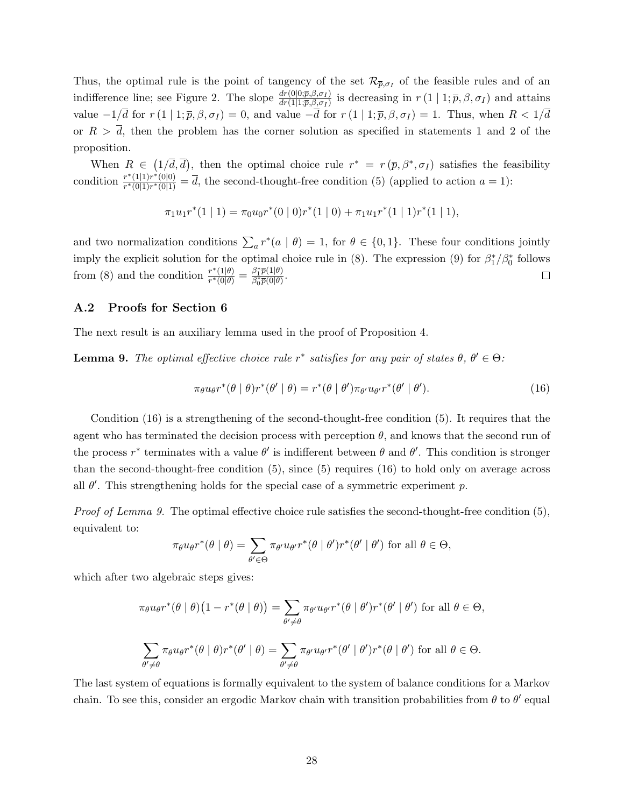Thus, the optimal rule is the point of tangency of the set  $\mathcal{R}_{\bar{p},\sigma_I}$  of the feasible rules and of an indifference line; see Figure 2. The slope  $\frac{dr(0|0;\overline{p},\beta,\sigma_I)}{dr(1|1;\overline{p},\beta,\sigma_I)}$  is decreasing in  $r(1|1;\overline{p},\beta,\sigma_I)$  and attains value  $-1/\overline{d}$  for  $r(1 | 1; \overline{p}, \beta, \sigma_I) = 0$ , and value  $-\overline{d}$  for  $r(1 | 1; \overline{p}, \beta, \sigma_I) = 1$ . Thus, when  $R < 1/\overline{d}$ or  $R > \overline{d}$ , then the problem has the corner solution as specified in statements 1 and 2 of the proposition.

When  $R \in (1/\overline{d}, \overline{d})$ , then the optimal choice rule  $r^* = r(\overline{p}, \beta^*, \sigma_I)$  satisfies the feasibility condition  $\frac{r^*(1|1)r^*(0|0)}{r^*(0|1)r^*(0|1)}$  $\frac{r^{\alpha}(\{1\},r^{\alpha}(0|1))}{r^*(0|1)r^*(0|1)}=d$ , the second-thought-free condition (5) (applied to action  $a=1$ ):

$$
\pi_1 u_1 r^*(1 \mid 1) = \pi_0 u_0 r^*(0 \mid 0) r^*(1 \mid 0) + \pi_1 u_1 r^*(1 \mid 1) r^*(1 \mid 1),
$$

and two normalization conditions  $\sum_a r^*(a | \theta) = 1$ , for  $\theta \in \{0, 1\}$ . These four conditions jointly imply the explicit solution for the optimal choice rule in (8). The expression (9) for  $\beta_1^*/\beta_0^*$  follows  $\frac{r^*(1|\theta)}{r^*(0|\theta)} = \frac{\beta_1^*\overline{p}(1|\theta)}{\beta_0^*\overline{p}(0|\theta)}$ from (8) and the condition  $\frac{r^*(1|\theta)}{r^*(0|\theta)}$  $\frac{\beta_1 p(1|\theta)}{\beta_0^* \overline{p}(0|\theta)}$ .  $\Box$ 

### A.2 Proofs for Section 6

The next result is an auxiliary lemma used in the proof of Proposition 4.

**Lemma 9.** The optimal effective choice rule  $r^*$  satisfies for any pair of states  $\theta$ ,  $\theta' \in \Theta$ :

$$
\pi_{\theta}u_{\theta}r^*(\theta \mid \theta)r^*(\theta' \mid \theta) = r^*(\theta \mid \theta')\pi_{\theta'}u_{\theta'}r^*(\theta' \mid \theta').
$$
\n(16)

Condition (16) is a strengthening of the second-thought-free condition (5). It requires that the agent who has terminated the decision process with perception  $\theta$ , and knows that the second run of the process  $r^*$  terminates with a value  $\theta'$  is indifferent between  $\theta$  and  $\theta'$ . This condition is stronger than the second-thought-free condition (5), since (5) requires (16) to hold only on average across all  $\theta'$ . This strengthening holds for the special case of a symmetric experiment p.

Proof of Lemma 9. The optimal effective choice rule satisfies the second-thought-free condition (5), equivalent to:

$$
\pi_{\theta}u_{\theta}r^*(\theta \mid \theta) = \sum_{\theta' \in \Theta} \pi_{\theta'}u_{\theta'}r^*(\theta \mid \theta')r^*(\theta' \mid \theta') \text{ for all } \theta \in \Theta,
$$

which after two algebraic steps gives:

$$
\pi_{\theta}u_{\theta}r^*(\theta \mid \theta)\left(1 - r^*(\theta \mid \theta)\right) = \sum_{\theta' \neq \theta} \pi_{\theta'}u_{\theta'}r^*(\theta \mid \theta')r^*(\theta' \mid \theta') \text{ for all } \theta \in \Theta,
$$
  

$$
\sum_{\theta' \neq \theta} \pi_{\theta}u_{\theta}r^*(\theta \mid \theta)r^*(\theta' \mid \theta) = \sum_{\theta' \neq \theta} \pi_{\theta'}u_{\theta'}r^*(\theta' \mid \theta')r^*(\theta \mid \theta') \text{ for all } \theta \in \Theta.
$$

The last system of equations is formally equivalent to the system of balance conditions for a Markov chain. To see this, consider an ergodic Markov chain with transition probabilities from  $\theta$  to  $\theta'$  equal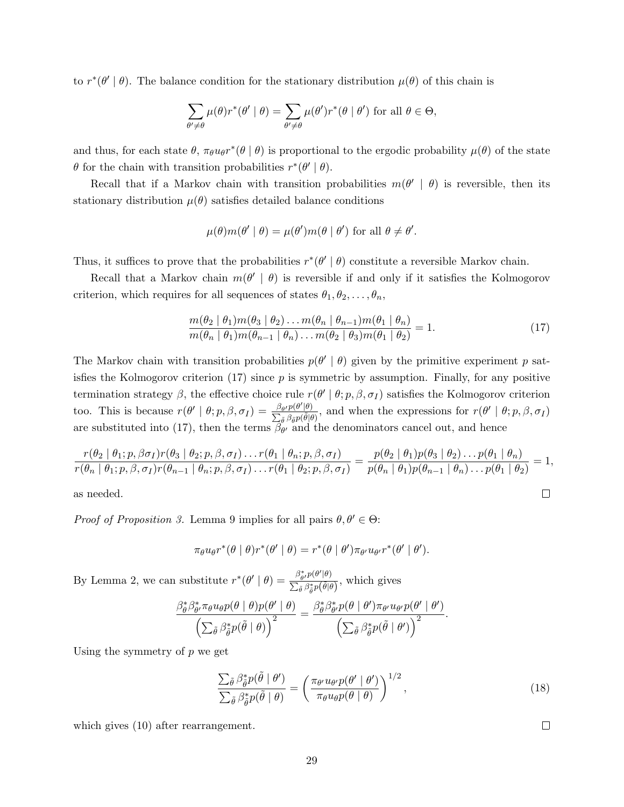to  $r^*(\theta' | \theta)$ . The balance condition for the stationary distribution  $\mu(\theta)$  of this chain is

$$
\sum_{\theta' \neq \theta} \mu(\theta) r^*(\theta' \mid \theta) = \sum_{\theta' \neq \theta} \mu(\theta') r^*(\theta \mid \theta') \text{ for all } \theta \in \Theta,
$$

and thus, for each state  $\theta$ ,  $\pi_{\theta}u_{\theta}r^*(\theta | \theta)$  is proportional to the ergodic probability  $\mu(\theta)$  of the state  $\theta$  for the chain with transition probabilities  $r^*(\theta' | \theta)$ .

Recall that if a Markov chain with transition probabilities  $m(\theta' | \theta)$  is reversible, then its stationary distribution  $\mu(\theta)$  satisfies detailed balance conditions

$$
\mu(\theta)m(\theta' \mid \theta) = \mu(\theta')m(\theta \mid \theta') \text{ for all } \theta \neq \theta'.
$$

Thus, it suffices to prove that the probabilities  $r^*(\theta' | \theta)$  constitute a reversible Markov chain.

Recall that a Markov chain  $m(\theta' | \theta)$  is reversible if and only if it satisfies the Kolmogorov criterion, which requires for all sequences of states  $\theta_1, \theta_2, \ldots, \theta_n$ ,

$$
\frac{m(\theta_2 \mid \theta_1)m(\theta_3 \mid \theta_2)\dots m(\theta_n \mid \theta_{n-1})m(\theta_1 \mid \theta_n)}{m(\theta_n \mid \theta_1)m(\theta_{n-1} \mid \theta_n)\dots m(\theta_2 \mid \theta_3)m(\theta_1 \mid \theta_2)} = 1.
$$
\n(17)

The Markov chain with transition probabilities  $p(\theta' | \theta)$  given by the primitive experiment p satisfies the Kolmogorov criterion  $(17)$  since p is symmetric by assumption. Finally, for any positive termination strategy  $\beta$ , the effective choice rule  $r(\theta' | \theta; p, \beta, \sigma_I)$  satisfies the Kolmogorov criterion too. This is because  $r(\theta' | \theta; p, \beta, \sigma_I) = \frac{\beta_{\theta'} p(\theta'|\theta)}{\sum_{\beta} \beta_{\gamma} p(\tilde{\theta}|\beta)}$  $\frac{\beta_{\theta'}p(\theta'|\theta)}{\sum_{\tilde{\theta}}\beta_{\tilde{\theta}}p(\tilde{\theta}|\theta)},$  and when the expressions for  $r(\theta' | \theta; p, \beta, \sigma_I)$ are substituted into (17), then the terms  $\beta_{\theta'}$  and the denominators cancel out, and hence

$$
\frac{r(\theta_2 \mid \theta_1; p, \beta \sigma_I) r(\theta_3 \mid \theta_2; p, \beta, \sigma_I) \dots r(\theta_1 \mid \theta_n; p, \beta, \sigma_I)}{r(\theta_n \mid \theta_1; p, \beta, \sigma_I) r(\theta_{n-1} \mid \theta_n; p, \beta, \sigma_I) \dots r(\theta_1 \mid \theta_2; p, \beta, \sigma_I)} = \frac{p(\theta_2 \mid \theta_1) p(\theta_3 \mid \theta_2) \dots p(\theta_1 \mid \theta_n)}{p(\theta_n \mid \theta_1) p(\theta_{n-1} \mid \theta_n) \dots p(\theta_1 \mid \theta_2)} = 1,
$$

as needed.

*Proof of Proposition 3.* Lemma 9 implies for all pairs  $\theta, \theta' \in \Theta$ :

$$
\pi_{\theta}u_{\theta}r^*(\theta \mid \theta)r^*(\theta' \mid \theta) = r^*(\theta \mid \theta')\pi_{\theta'}u_{\theta'}r^*(\theta' \mid \theta').
$$

By Lemma 2, we can substitute  $r^*(\theta' | \theta) = \frac{\beta_{\theta'}^*(p(\theta')|\theta)}{\sum_{\theta'} \beta_{\theta'}^*(\theta')(\theta')}$  $\frac{\rho_{\theta'} p(\sigma|\theta')}{\sum_{\tilde{\theta}} \beta_{\tilde{\theta}}^* p(\tilde{\theta}|\theta)},$  which gives

$$
\frac{\beta_{\theta}^{*} \beta_{\theta'}^{*} \pi_{\theta} u_{\theta} p(\theta \mid \theta) p(\theta' \mid \theta)}{\left(\sum_{\tilde{\theta}} \beta_{\tilde{\theta}}^{*} p(\tilde{\theta} \mid \theta)\right)^{2}} = \frac{\beta_{\theta}^{*} \beta_{\theta'}^{*} p(\theta \mid \theta') \pi_{\theta'} u_{\theta'} p(\theta' \mid \theta')}{\left(\sum_{\tilde{\theta}} \beta_{\tilde{\theta}}^{*} p(\tilde{\theta} \mid \theta')\right)^{2}}.
$$

Using the symmetry of  $p$  we get

$$
\frac{\sum_{\tilde{\theta}} \beta_{\tilde{\theta}}^* p(\tilde{\theta} \mid \theta')}{\sum_{\tilde{\theta}} \beta_{\tilde{\theta}}^* p(\tilde{\theta} \mid \theta)} = \left(\frac{\pi_{\theta'} u_{\theta'} p(\theta' \mid \theta')}{\pi_{\theta} u_{\theta} p(\theta \mid \theta)}\right)^{1/2},\tag{18}
$$

which gives  $(10)$  after rearrangement.

 $\Box$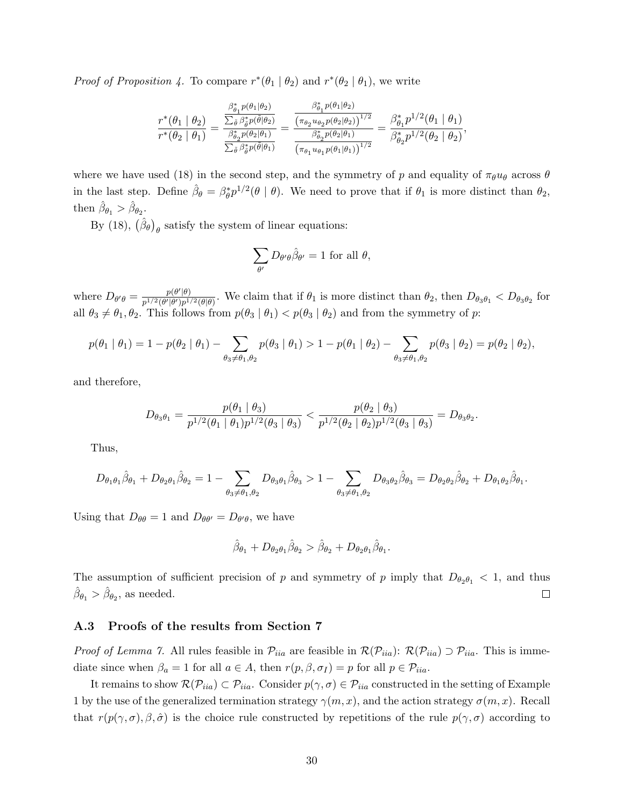*Proof of Proposition 4.* To compare  $r^*(\theta_1 | \theta_2)$  and  $r^*(\theta_2 | \theta_1)$ , we write

$$
\frac{r^*(\theta_1 \mid \theta_2)}{r^*(\theta_2 \mid \theta_1)} = \frac{\frac{\beta_{\theta_1}^* p(\theta_1 \mid \theta_2)}{\sum_{\tilde{\theta}} \beta_{\tilde{\theta}}^* p(\tilde{\theta} \mid \theta_2)}}{\frac{\beta_{\theta_2}^* p(\tilde{\theta} \mid \theta_2)}{\sum_{\tilde{\theta}} \beta_{\tilde{\theta}}^* p(\theta_2 \mid \theta_1)}} = \frac{\frac{\beta_{\theta_1}^* p(\theta_1 \mid \theta_2)}{(\pi_{\theta_2} u_{\theta_2} p(\theta_2 \mid \theta_2))^{1/2}}}{\frac{\beta_{\theta_2}^* p(\theta_2 \mid \theta_1)}{(\pi_{\theta_1} u_{\theta_1} p(\theta_1 \mid \theta_1))^{1/2}}} = \frac{\beta_{\theta_1}^* p^{1/2}(\theta_1 \mid \theta_1)}{\beta_{\theta_2}^* p^{1/2}(\theta_2 \mid \theta_2)},
$$

where we have used (18) in the second step, and the symmetry of p and equality of  $\pi_{\theta}u_{\theta}$  across  $\theta$ in the last step. Define  $\hat{\beta}_{\theta} = \beta_{\theta}^* p^{1/2}(\theta | \theta)$ . We need to prove that if  $\theta_1$  is more distinct than  $\theta_2$ , then  $\hat{\beta}_{\theta_1} > \hat{\beta}_{\theta_2}$ .

By (18),  $(\hat{\beta}_{\theta})_{\theta}$  satisfy the system of linear equations:

$$
\sum_{\theta'} D_{\theta'\theta} \hat{\beta}_{\theta'} = 1 \text{ for all } \theta,
$$

where  $D_{\theta'\theta} = \frac{p(\theta'|\theta)}{n^{1/2}(\theta'|\theta')n^{1/2}}$  $\frac{p(\theta|\theta)}{p^{1/2}(\theta|\theta)p^{1/2}(\theta|\theta)}$ . We claim that if  $\theta_1$  is more distinct than  $\theta_2$ , then  $D_{\theta_3\theta_1} < D_{\theta_3\theta_2}$  for all  $\theta_3 \neq \theta_1, \theta_2$ . This follows from  $p(\theta_3 | \theta_1) < p(\theta_3 | \theta_2)$  and from the symmetry of p:

$$
p(\theta_1 | \theta_1) = 1 - p(\theta_2 | \theta_1) - \sum_{\theta_3 \neq \theta_1, \theta_2} p(\theta_3 | \theta_1) > 1 - p(\theta_1 | \theta_2) - \sum_{\theta_3 \neq \theta_1, \theta_2} p(\theta_3 | \theta_2) = p(\theta_2 | \theta_2),
$$

and therefore,

$$
D_{\theta_3\theta_1} = \frac{p(\theta_1 \mid \theta_3)}{p^{1/2}(\theta_1 \mid \theta_1)p^{1/2}(\theta_3 \mid \theta_3)} < \frac{p(\theta_2 \mid \theta_3)}{p^{1/2}(\theta_2 \mid \theta_2)p^{1/2}(\theta_3 \mid \theta_3)} = D_{\theta_3\theta_2}.
$$

Thus,

$$
D_{\theta_1\theta_1}\hat{\beta}_{\theta_1} + D_{\theta_2\theta_1}\hat{\beta}_{\theta_2} = 1 - \sum_{\theta_3 \neq \theta_1, \theta_2} D_{\theta_3\theta_1}\hat{\beta}_{\theta_3} > 1 - \sum_{\theta_3 \neq \theta_1, \theta_2} D_{\theta_3\theta_2}\hat{\beta}_{\theta_3} = D_{\theta_2\theta_2}\hat{\beta}_{\theta_2} + D_{\theta_1\theta_2}\hat{\beta}_{\theta_1}.
$$

Using that  $D_{\theta\theta} = 1$  and  $D_{\theta\theta'} = D_{\theta'\theta}$ , we have

$$
\hat{\beta}_{\theta_1} + D_{\theta_2\theta_1} \hat{\beta}_{\theta_2} > \hat{\beta}_{\theta_2} + D_{\theta_2\theta_1} \hat{\beta}_{\theta_1}.
$$

The assumption of sufficient precision of p and symmetry of p imply that  $D_{\theta_2\theta_1} < 1$ , and thus  $\hat{\beta}_{\theta_1} > \hat{\beta}_{\theta_2}$ , as needed.  $\Box$ 

#### A.3 Proofs of the results from Section 7

*Proof of Lemma 7.* All rules feasible in  $\mathcal{P}_{iia}$  are feasible in  $\mathcal{R}(\mathcal{P}_{iia})$ :  $\mathcal{R}(\mathcal{P}_{iia}) \supset \mathcal{P}_{iia}$ . This is immediate since when  $\beta_a = 1$  for all  $a \in A$ , then  $r(p, \beta, \sigma_I) = p$  for all  $p \in \mathcal{P}_{iia}$ .

It remains to show  $\mathcal{R}(\mathcal{P}_{iia}) \subset \mathcal{P}_{iia}$ . Consider  $p(\gamma, \sigma) \in \mathcal{P}_{iia}$  constructed in the setting of Example 1 by the use of the generalized termination strategy  $\gamma(m, x)$ , and the action strategy  $\sigma(m, x)$ . Recall that  $r(p(\gamma, \sigma), \beta, \hat{\sigma})$  is the choice rule constructed by repetitions of the rule  $p(\gamma, \sigma)$  according to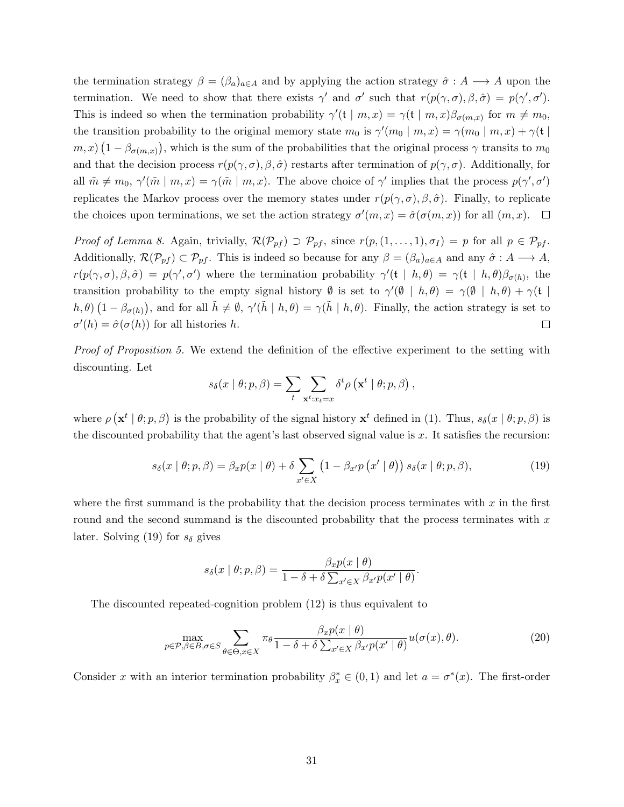the termination strategy  $\beta = (\beta_a)_{a \in A}$  and by applying the action strategy  $\hat{\sigma} : A \longrightarrow A$  upon the termination. We need to show that there exists  $\gamma'$  and  $\sigma'$  such that  $r(p(\gamma, \sigma), \beta, \hat{\sigma}) = p(\gamma', \sigma')$ . This is indeed so when the termination probability  $\gamma'(\mathfrak{t} \mid m, x) = \gamma(\mathfrak{t} \mid m, x) \beta_{\sigma(m,x)}$  for  $m \neq m_0$ , the transition probability to the original memory state  $m_0$  is  $\gamma'(m_0 | m, x) = \gamma(m_0 | m, x) + \gamma(t)$  $(m, x)$   $(1 - \beta_{\sigma(m,x)})$ , which is the sum of the probabilities that the original process  $\gamma$  transits to  $m_0$ and that the decision process  $r(p(\gamma, \sigma), \beta, \hat{\sigma})$  restarts after termination of  $p(\gamma, \sigma)$ . Additionally, for all  $\tilde{m} \neq m_0$ ,  $\gamma'(\tilde{m} \mid m, x) = \gamma(\tilde{m} \mid m, x)$ . The above choice of  $\gamma'$  implies that the process  $p(\gamma', \sigma')$ replicates the Markov process over the memory states under  $r(p(\gamma, \sigma), \beta, \hat{\sigma})$ . Finally, to replicate the choices upon terminations, we set the action strategy  $\sigma'(m, x) = \hat{\sigma}(\sigma(m, x))$  for all  $(m, x)$ .

Proof of Lemma 8. Again, trivially,  $\mathcal{R}(\mathcal{P}_{pf}) \supset \mathcal{P}_{pf}$ , since  $r(p,(1,\ldots,1),\sigma_I) = p$  for all  $p \in \mathcal{P}_{pf}$ . Additionally,  $\mathcal{R}(\mathcal{P}_{pf}) \subset \mathcal{P}_{pf}$ . This is indeed so because for any  $\beta = (\beta_a)_{a \in A}$  and any  $\hat{\sigma}: A \longrightarrow A$ ,  $r(p(\gamma,\sigma),\beta,\hat{\sigma}) = p(\gamma',\sigma')$  where the termination probability  $\gamma'(\mathfrak{t} | h, \theta) = \gamma(\mathfrak{t} | h, \theta)\beta_{\sigma(h)}$ , the transition probability to the empty signal history  $\emptyset$  is set to  $\gamma'(\emptyset | h, \theta) = \gamma(\emptyset | h, \theta) + \gamma(\mathfrak{t} |$  $(h, \theta)$   $(1 - \beta_{\sigma(h)})$ , and for all  $\tilde{h} \neq \emptyset$ ,  $\gamma'(\tilde{h} \mid h, \theta) = \gamma(\tilde{h} \mid h, \theta)$ . Finally, the action strategy is set to  $\sigma'(h) = \hat{\sigma}(\sigma(h))$  for all histories h.  $\Box$ 

Proof of Proposition 5. We extend the definition of the effective experiment to the setting with discounting. Let

$$
s_{\delta}(x | \theta; p, \beta) = \sum_{t} \sum_{\mathbf{x}^{t}: x_{t} = x} \delta^{t} \rho\left(\mathbf{x}^{t} | \theta; p, \beta\right),
$$

where  $\rho(\mathbf{x}^t | \theta; p, \beta)$  is the probability of the signal history  $\mathbf{x}^t$  defined in (1). Thus,  $s_\delta(x | \theta; p, \beta)$  is the discounted probability that the agent's last observed signal value is x. It satisfies the recursion:

$$
s_{\delta}(x \mid \theta; p, \beta) = \beta_x p(x \mid \theta) + \delta \sum_{x' \in X} (1 - \beta_{x'} p(x' \mid \theta)) s_{\delta}(x \mid \theta; p, \beta), \qquad (19)
$$

where the first summand is the probability that the decision process terminates with  $x$  in the first round and the second summand is the discounted probability that the process terminates with  $x$ later. Solving (19) for  $s_{\delta}$  gives

$$
s_{\delta}(x \mid \theta; p, \beta) = \frac{\beta_x p(x \mid \theta)}{1 - \delta + \delta \sum_{x' \in X} \beta_{x'} p(x' \mid \theta)}.
$$

The discounted repeated-cognition problem (12) is thus equivalent to

$$
\max_{p \in \mathcal{P}, \beta \in B, \sigma \in S} \sum_{\theta \in \Theta, x \in X} \pi_{\theta} \frac{\beta_x p(x \mid \theta)}{1 - \delta + \delta \sum_{x' \in X} \beta_{x'} p(x' \mid \theta)} u(\sigma(x), \theta). \tag{20}
$$

Consider x with an interior termination probability  $\beta_x^* \in (0,1)$  and let  $a = \sigma^*(x)$ . The first-order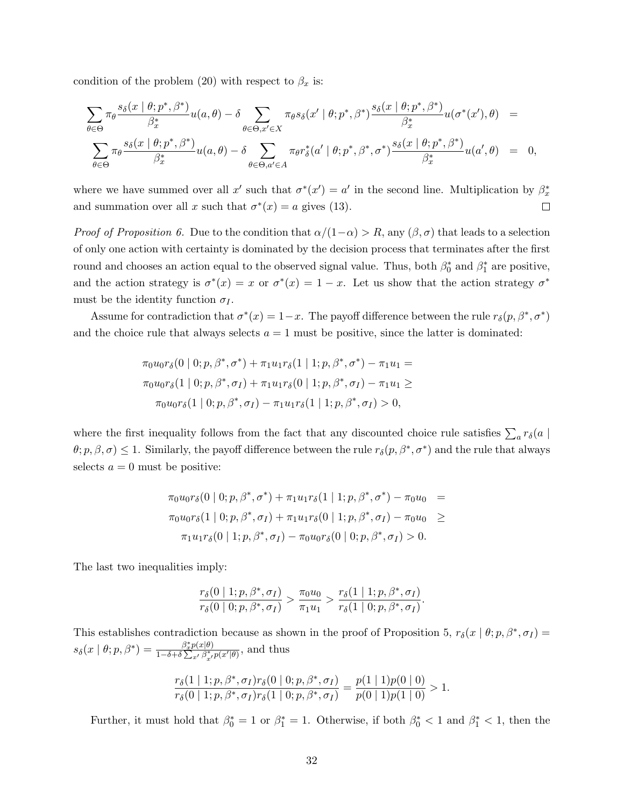condition of the problem (20) with respect to  $\beta_x$  is:

$$
\sum_{\theta \in \Theta} \pi_{\theta} \frac{s_{\delta}(x \mid \theta; p^*, \beta^*)}{\beta_x^*} u(a, \theta) - \delta \sum_{\theta \in \Theta, x' \in X} \pi_{\theta} s_{\delta}(x' \mid \theta; p^*, \beta^*) \frac{s_{\delta}(x \mid \theta; p^*, \beta^*)}{\beta_x^*} u(\sigma^*(x'), \theta) =
$$
  

$$
\sum_{\theta \in \Theta} \pi_{\theta} \frac{s_{\delta}(x \mid \theta; p^*, \beta^*)}{\beta_x^*} u(a, \theta) - \delta \sum_{\theta \in \Theta, a' \in A} \pi_{\theta} r_{\delta}^*(a' \mid \theta; p^*, \beta^*, \sigma^*) \frac{s_{\delta}(x \mid \theta; p^*, \beta^*)}{\beta_x^*} u(a', \theta) = 0,
$$

where we have summed over all x' such that  $\sigma^*(x') = a'$  in the second line. Multiplication by  $\beta_x^*$ and summation over all x such that  $\sigma^*(x) = a$  gives (13).  $\Box$ 

*Proof of Proposition 6.* Due to the condition that  $\alpha/(1-\alpha) > R$ , any  $(\beta, \sigma)$  that leads to a selection of only one action with certainty is dominated by the decision process that terminates after the first round and chooses an action equal to the observed signal value. Thus, both  $\beta_0^*$  and  $\beta_1^*$  are positive, and the action strategy is  $\sigma^*(x) = x$  or  $\sigma^*(x) = 1 - x$ . Let us show that the action strategy  $\sigma^*$ must be the identity function  $\sigma_I$ .

Assume for contradiction that  $\sigma^*(x) = 1-x$ . The payoff difference between the rule  $r_\delta(p, \beta^*, \sigma^*)$ and the choice rule that always selects  $a = 1$  must be positive, since the latter is dominated:

$$
\pi_0 u_0 r_\delta(0 \mid 0; p, \beta^*, \sigma^*) + \pi_1 u_1 r_\delta(1 \mid 1; p, \beta^*, \sigma^*) - \pi_1 u_1 =
$$
  
\n
$$
\pi_0 u_0 r_\delta(1 \mid 0; p, \beta^*, \sigma_I) + \pi_1 u_1 r_\delta(0 \mid 1; p, \beta^*, \sigma_I) - \pi_1 u_1 \ge
$$
  
\n
$$
\pi_0 u_0 r_\delta(1 \mid 0; p, \beta^*, \sigma_I) - \pi_1 u_1 r_\delta(1 \mid 1; p, \beta^*, \sigma_I) > 0,
$$

where the first inequality follows from the fact that any discounted choice rule satisfies  $\sum_a r_\delta(a \mid$  $\theta$ ;  $p, \beta, \sigma$ )  $\leq$  1. Similarly, the payoff difference between the rule  $r_{\delta}(p, \beta^*, \sigma^*)$  and the rule that always selects  $a = 0$  must be positive:

$$
\pi_0 u_0 r_\delta(0 \mid 0; p, \beta^*, \sigma^*) + \pi_1 u_1 r_\delta(1 \mid 1; p, \beta^*, \sigma^*) - \pi_0 u_0 =
$$
  
\n
$$
\pi_0 u_0 r_\delta(1 \mid 0; p, \beta^*, \sigma_I) + \pi_1 u_1 r_\delta(0 \mid 1; p, \beta^*, \sigma_I) - \pi_0 u_0 \ge
$$
  
\n
$$
\pi_1 u_1 r_\delta(0 \mid 1; p, \beta^*, \sigma_I) - \pi_0 u_0 r_\delta(0 \mid 0; p, \beta^*, \sigma_I) > 0.
$$

The last two inequalities imply:

$$
\frac{r_{\delta}(0 | 1; p, \beta^*, \sigma_I)}{r_{\delta}(0 | 0; p, \beta^*, \sigma_I)} > \frac{\pi_0 u_0}{\pi_1 u_1} > \frac{r_{\delta}(1 | 1; p, \beta^*, \sigma_I)}{r_{\delta}(1 | 0; p, \beta^*, \sigma_I)}.
$$

This establishes contradiction because as shown in the proof of Proposition 5,  $r_{\delta}(x | \theta; p, \beta^*, \sigma_I)$  $s_{\delta}(x \mid \theta; p, \beta^*) = \frac{\beta_x^* p(x \mid \theta)}{1 - \delta + \delta \sum_{x'} \beta_{x'}^* p(x' \mid \theta)},$  and thus

$$
\frac{r_{\delta}(1 | 1; p, \beta^*, \sigma_I) r_{\delta}(0 | 0; p, \beta^*, \sigma_I)}{r_{\delta}(0 | 1; p, \beta^*, \sigma_I) r_{\delta}(1 | 0; p, \beta^*, \sigma_I)} = \frac{p(1 | 1)p(0 | 0)}{p(0 | 1)p(1 | 0)} > 1.
$$

Further, it must hold that  $\beta_0^* = 1$  or  $\beta_1^* = 1$ . Otherwise, if both  $\beta_0^* < 1$  and  $\beta_1^* < 1$ , then the